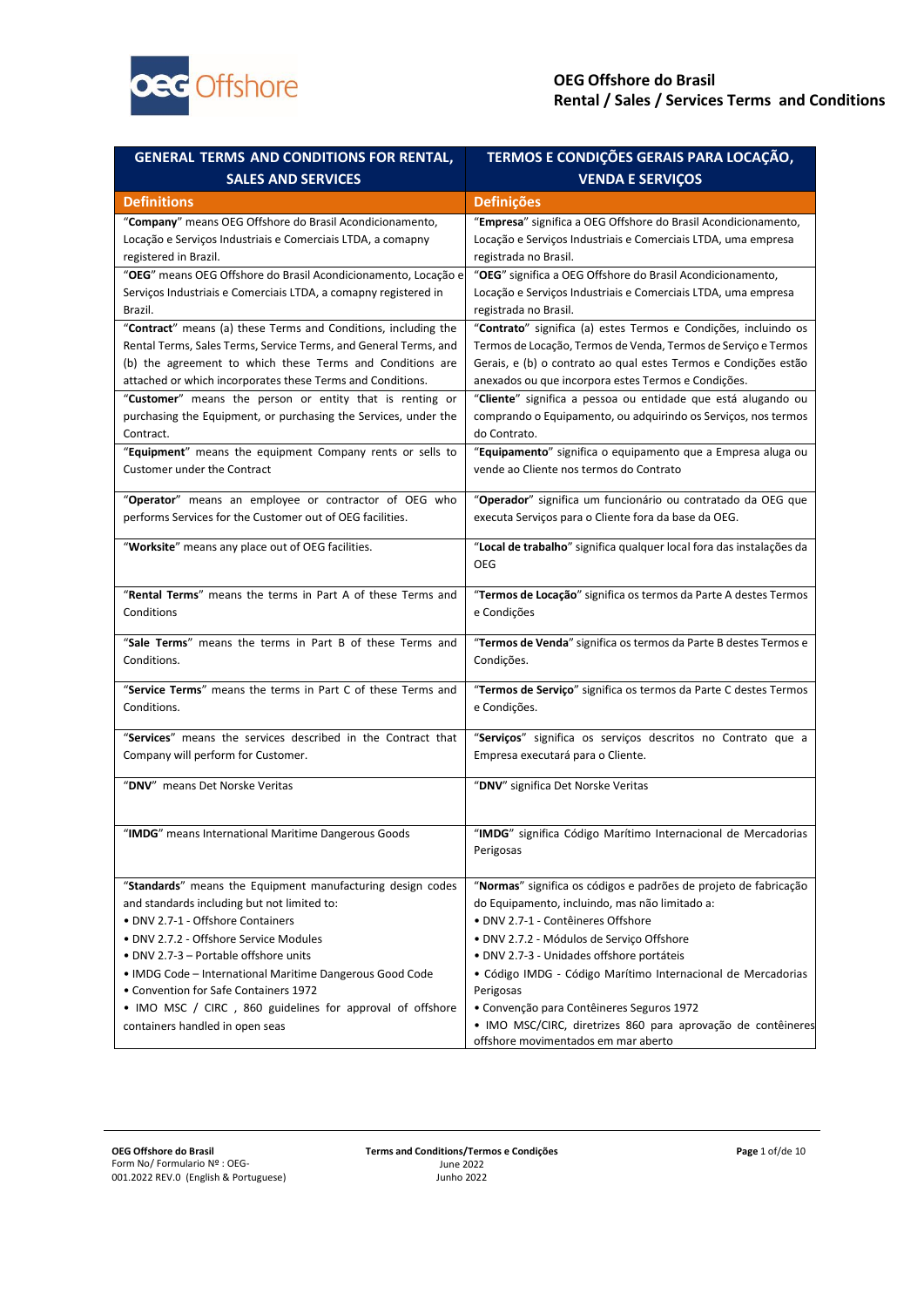

| <b>GENERAL TERMS AND CONDITIONS FOR RENTAL,</b>                  | TERMOS E CONDIÇÕES GERAIS PARA LOCAÇÃO,                              |
|------------------------------------------------------------------|----------------------------------------------------------------------|
| <b>SALES AND SERVICES</b>                                        | <b>VENDA E SERVIÇOS</b>                                              |
| <b>Definitions</b>                                               | <b>Definições</b>                                                    |
| "Company" means OEG Offshore do Brasil Acondicionamento,         | "Empresa" significa a OEG Offshore do Brasil Acondicionamento,       |
| Locação e Serviços Industriais e Comerciais LTDA, a comapny      | Locação e Serviços Industriais e Comerciais LTDA, uma empresa        |
| registered in Brazil.                                            | registrada no Brasil.                                                |
| "OEG" means OEG Offshore do Brasil Acondicionamento, Locação e   | "OEG" significa a OEG Offshore do Brasil Acondicionamento,           |
| Serviços Industriais e Comerciais LTDA, a comapny registered in  | Locação e Serviços Industriais e Comerciais LTDA, uma empresa        |
| Brazil.                                                          | registrada no Brasil.                                                |
| "Contract" means (a) these Terms and Conditions, including the   | "Contrato" significa (a) estes Termos e Condições, incluindo os      |
| Rental Terms, Sales Terms, Service Terms, and General Terms, and | Termos de Locação, Termos de Venda, Termos de Serviço e Termos       |
| (b) the agreement to which these Terms and Conditions are        | Gerais, e (b) o contrato ao qual estes Termos e Condições estão      |
| attached or which incorporates these Terms and Conditions.       | anexados ou que incorpora estes Termos e Condições.                  |
| "Customer" means the person or entity that is renting or         | "Cliente" significa a pessoa ou entidade que está alugando ou        |
| purchasing the Equipment, or purchasing the Services, under the  | comprando o Equipamento, ou adquirindo os Serviços, nos termos       |
| Contract.                                                        | do Contrato.                                                         |
| "Equipment" means the equipment Company rents or sells to        | "Equipamento" significa o equipamento que a Empresa aluga ou         |
| <b>Customer under the Contract</b>                               | vende ao Cliente nos termos do Contrato                              |
|                                                                  |                                                                      |
| "Operator" means an employee or contractor of OEG who            | "Operador" significa um funcionário ou contratado da OEG que         |
| performs Services for the Customer out of OEG facilities.        | executa Serviços para o Cliente fora da base da OEG.                 |
|                                                                  |                                                                      |
| "Worksite" means any place out of OEG facilities.                | "Local de trabalho" significa qualquer local fora das instalações da |
|                                                                  | <b>OEG</b>                                                           |
| "Rental Terms" means the terms in Part A of these Terms and      | "Termos de Locação" significa os termos da Parte A destes Termos     |
| Conditions                                                       | e Condições                                                          |
|                                                                  |                                                                      |
| "Sale Terms" means the terms in Part B of these Terms and        | "Termos de Venda" significa os termos da Parte B destes Termos e     |
| Conditions.                                                      | Condições.                                                           |
| "Service Terms" means the terms in Part C of these Terms and     | "Termos de Serviço" significa os termos da Parte C destes Termos     |
| Conditions.                                                      | e Condições.                                                         |
|                                                                  |                                                                      |
| "Services" means the services described in the Contract that     | "Serviços" significa os serviços descritos no Contrato que a         |
| Company will perform for Customer.                               | Empresa executará para o Cliente.                                    |
|                                                                  |                                                                      |
| "DNV" means Det Norske Veritas                                   | "DNV" significa Det Norske Veritas                                   |
|                                                                  |                                                                      |
| "IMDG" means International Maritime Dangerous Goods              | "IMDG" significa Código Marítimo Internacional de Mercadorias        |
|                                                                  | Perigosas                                                            |
|                                                                  |                                                                      |
| "Standards" means the Equipment manufacturing design codes       | "Normas" significa os códigos e padrões de projeto de fabricação     |
| and standards including but not limited to:                      | do Equipamento, incluindo, mas não limitado a:                       |
| • DNV 2.7-1 - Offshore Containers                                | · DNV 2.7-1 - Contêineres Offshore                                   |
| • DNV 2.7.2 - Offshore Service Modules                           | · DNV 2.7.2 - Módulos de Serviço Offshore                            |
| • DNV 2.7-3 - Portable offshore units                            | · DNV 2.7-3 - Unidades offshore portáteis                            |
| • IMDG Code – International Maritime Dangerous Good Code         | • Código IMDG - Código Marítimo Internacional de Mercadorias         |
| • Convention for Safe Containers 1972                            | Perigosas                                                            |
| • IMO MSC / CIRC, 860 guidelines for approval of offshore        | • Convenção para Contêineres Seguros 1972                            |
| containers handled in open seas                                  | · IMO MSC/CIRC, diretrizes 860 para aprovação de contêineres         |
|                                                                  | offshore movimentados em mar aberto                                  |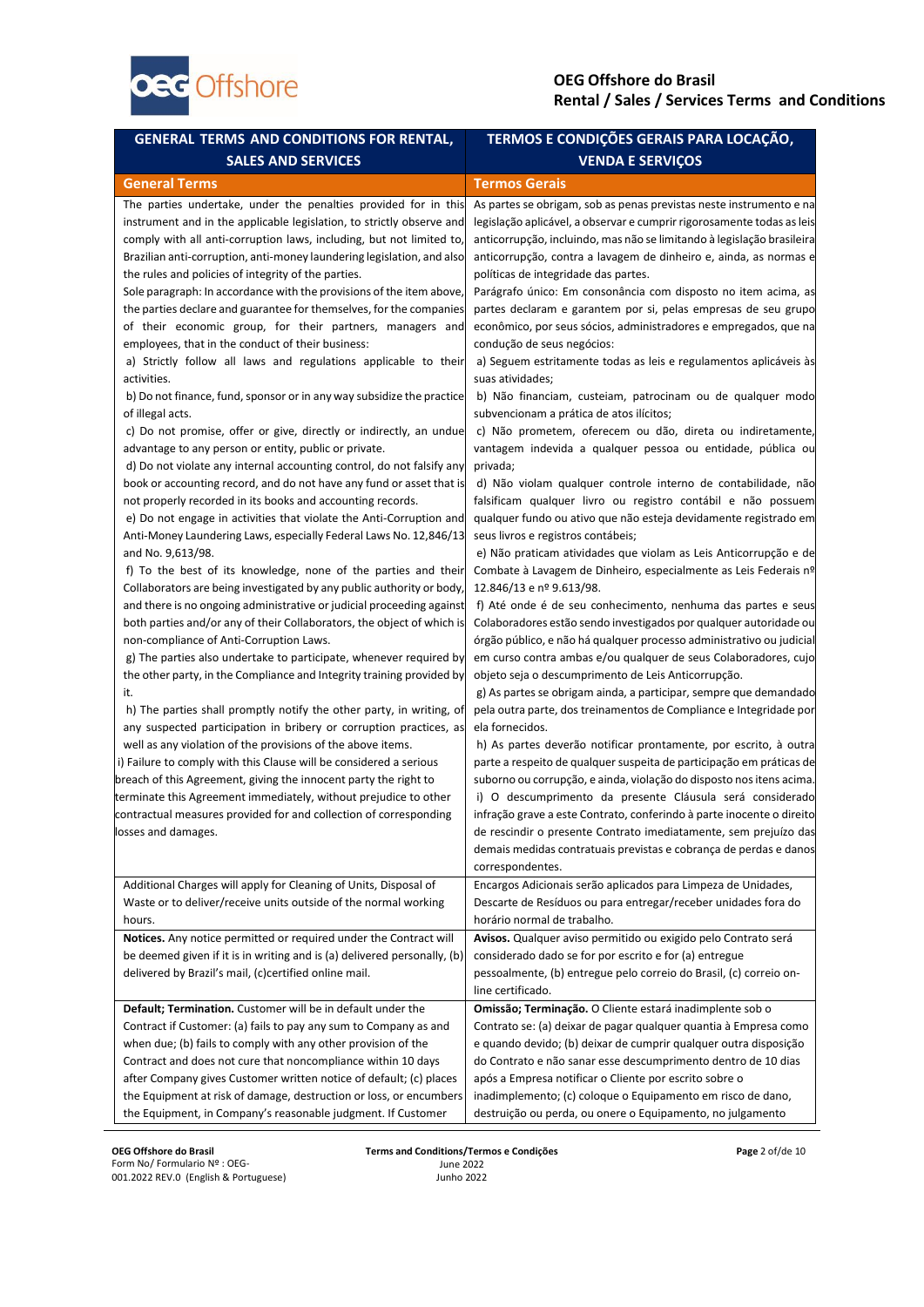

| <b>GENERAL TERMS AND CONDITIONS FOR RENTAL,</b>                                                                                                                                                                                                                                                                                                                                                                                                                                                                                                                                                                                                                                                                                                                                                                                                                                                                                                                                                                                                                                                                                                                                                                                                                                                                                                                                                                                                                                                                                                                                                                                                                                                                                                                                                                                                                                                                                                                                                                                                                                                                                                                                                                                                                                                                                       | TERMOS E CONDIÇÕES GERAIS PARA LOCAÇÃO,                                                                                                                                                                                                                                                                                                                                                                                                                                                                                                                                                                                                                                                                                                                                                                                                                                                                                                                                                                                                                                                                                                                                                                                                                                                                                                                                                                                                                                                                                                                                                                                                                                                                                                                                                                                                                                                                                                                                                                                                                                                                                                                                                                                                                                  |
|---------------------------------------------------------------------------------------------------------------------------------------------------------------------------------------------------------------------------------------------------------------------------------------------------------------------------------------------------------------------------------------------------------------------------------------------------------------------------------------------------------------------------------------------------------------------------------------------------------------------------------------------------------------------------------------------------------------------------------------------------------------------------------------------------------------------------------------------------------------------------------------------------------------------------------------------------------------------------------------------------------------------------------------------------------------------------------------------------------------------------------------------------------------------------------------------------------------------------------------------------------------------------------------------------------------------------------------------------------------------------------------------------------------------------------------------------------------------------------------------------------------------------------------------------------------------------------------------------------------------------------------------------------------------------------------------------------------------------------------------------------------------------------------------------------------------------------------------------------------------------------------------------------------------------------------------------------------------------------------------------------------------------------------------------------------------------------------------------------------------------------------------------------------------------------------------------------------------------------------------------------------------------------------------------------------------------------------|--------------------------------------------------------------------------------------------------------------------------------------------------------------------------------------------------------------------------------------------------------------------------------------------------------------------------------------------------------------------------------------------------------------------------------------------------------------------------------------------------------------------------------------------------------------------------------------------------------------------------------------------------------------------------------------------------------------------------------------------------------------------------------------------------------------------------------------------------------------------------------------------------------------------------------------------------------------------------------------------------------------------------------------------------------------------------------------------------------------------------------------------------------------------------------------------------------------------------------------------------------------------------------------------------------------------------------------------------------------------------------------------------------------------------------------------------------------------------------------------------------------------------------------------------------------------------------------------------------------------------------------------------------------------------------------------------------------------------------------------------------------------------------------------------------------------------------------------------------------------------------------------------------------------------------------------------------------------------------------------------------------------------------------------------------------------------------------------------------------------------------------------------------------------------------------------------------------------------------------------------------------------------|
| <b>SALES AND SERVICES</b>                                                                                                                                                                                                                                                                                                                                                                                                                                                                                                                                                                                                                                                                                                                                                                                                                                                                                                                                                                                                                                                                                                                                                                                                                                                                                                                                                                                                                                                                                                                                                                                                                                                                                                                                                                                                                                                                                                                                                                                                                                                                                                                                                                                                                                                                                                             | <b>VENDA E SERVIÇOS</b>                                                                                                                                                                                                                                                                                                                                                                                                                                                                                                                                                                                                                                                                                                                                                                                                                                                                                                                                                                                                                                                                                                                                                                                                                                                                                                                                                                                                                                                                                                                                                                                                                                                                                                                                                                                                                                                                                                                                                                                                                                                                                                                                                                                                                                                  |
| <b>General Terms</b>                                                                                                                                                                                                                                                                                                                                                                                                                                                                                                                                                                                                                                                                                                                                                                                                                                                                                                                                                                                                                                                                                                                                                                                                                                                                                                                                                                                                                                                                                                                                                                                                                                                                                                                                                                                                                                                                                                                                                                                                                                                                                                                                                                                                                                                                                                                  | <b>Termos Gerais</b>                                                                                                                                                                                                                                                                                                                                                                                                                                                                                                                                                                                                                                                                                                                                                                                                                                                                                                                                                                                                                                                                                                                                                                                                                                                                                                                                                                                                                                                                                                                                                                                                                                                                                                                                                                                                                                                                                                                                                                                                                                                                                                                                                                                                                                                     |
| The parties undertake, under the penalties provided for in this<br>instrument and in the applicable legislation, to strictly observe and<br>comply with all anti-corruption laws, including, but not limited to,<br>Brazilian anti-corruption, anti-money laundering legislation, and also<br>the rules and policies of integrity of the parties.<br>Sole paragraph: In accordance with the provisions of the item above,<br>the parties declare and guarantee for themselves, for the companies<br>of their economic group, for their partners, managers and<br>employees, that in the conduct of their business:<br>a) Strictly follow all laws and regulations applicable to their<br>activities.<br>b) Do not finance, fund, sponsor or in any way subsidize the practice<br>of illegal acts.<br>c) Do not promise, offer or give, directly or indirectly, an undue<br>advantage to any person or entity, public or private.<br>d) Do not violate any internal accounting control, do not falsify any<br>book or accounting record, and do not have any fund or asset that is<br>not properly recorded in its books and accounting records.<br>e) Do not engage in activities that violate the Anti-Corruption and<br>Anti-Money Laundering Laws, especially Federal Laws No. 12,846/13<br>and No. 9,613/98.<br>f) To the best of its knowledge, none of the parties and their<br>Collaborators are being investigated by any public authority or body,<br>and there is no ongoing administrative or judicial proceeding against<br>both parties and/or any of their Collaborators, the object of which is<br>non-compliance of Anti-Corruption Laws.<br>g) The parties also undertake to participate, whenever required by<br>the other party, in the Compliance and Integrity training provided by<br>it.<br>h) The parties shall promptly notify the other party, in writing, of<br>any suspected participation in bribery or corruption practices, as<br>well as any violation of the provisions of the above items.<br>i) Failure to comply with this Clause will be considered a serious<br>breach of this Agreement, giving the innocent party the right to<br>terminate this Agreement immediately, without prejudice to other<br>contractual measures provided for and collection of corresponding<br>osses and damages. | As partes se obrigam, sob as penas previstas neste instrumento e na<br>legislação aplicável, a observar e cumprir rigorosamente todas as leis<br>anticorrupção, incluindo, mas não se limitando à legislação brasileira<br>anticorrupção, contra a lavagem de dinheiro e, ainda, as normas e<br>políticas de integridade das partes.<br>Parágrafo único: Em consonância com disposto no item acima, as<br>partes declaram e garantem por si, pelas empresas de seu grupo<br>econômico, por seus sócios, administradores e empregados, que na<br>condução de seus negócios:<br>a) Seguem estritamente todas as leis e regulamentos aplicáveis às<br>suas atividades;<br>b) Não financiam, custeiam, patrocinam ou de qualquer modo<br>subvencionam a prática de atos ilícitos;<br>c) Não prometem, oferecem ou dão, direta ou indiretamente,<br>vantagem indevida a qualquer pessoa ou entidade, pública ou<br>privada;<br>d) Não violam qualquer controle interno de contabilidade, não<br>falsificam qualquer livro ou registro contábil e não possuem<br>qualquer fundo ou ativo que não esteja devidamente registrado em<br>seus livros e registros contábeis;<br>e) Não praticam atividades que violam as Leis Anticorrupção e de<br>Combate à Lavagem de Dinheiro, especialmente as Leis Federais nº<br>12.846/13 e nº 9.613/98.<br>f) Até onde é de seu conhecimento, nenhuma das partes e seus<br>Colaboradores estão sendo investigados por qualquer autoridade ou<br>órgão público, e não há qualquer processo administrativo ou judicial<br>em curso contra ambas e/ou qualquer de seus Colaboradores, cujo<br>objeto seja o descumprimento de Leis Anticorrupção.<br>g) As partes se obrigam ainda, a participar, sempre que demandado<br>pela outra parte, dos treinamentos de Compliance e Integridade por<br>ela fornecidos.<br>h) As partes deverão notificar prontamente, por escrito, à outra<br>parte a respeito de qualquer suspeita de participação em práticas de<br>suborno ou corrupção, e ainda, violação do disposto nos itens acima.<br>i) O descumprimento da presente Cláusula será considerado<br>infração grave a este Contrato, conferindo à parte inocente o direito<br>de rescindir o presente Contrato imediatamente, sem prejuízo das |
| Additional Charges will apply for Cleaning of Units, Disposal of<br>Waste or to deliver/receive units outside of the normal working                                                                                                                                                                                                                                                                                                                                                                                                                                                                                                                                                                                                                                                                                                                                                                                                                                                                                                                                                                                                                                                                                                                                                                                                                                                                                                                                                                                                                                                                                                                                                                                                                                                                                                                                                                                                                                                                                                                                                                                                                                                                                                                                                                                                   | demais medidas contratuais previstas e cobrança de perdas e danos<br>correspondentes.<br>Encargos Adicionais serão aplicados para Limpeza de Unidades,<br>Descarte de Resíduos ou para entregar/receber unidades fora do                                                                                                                                                                                                                                                                                                                                                                                                                                                                                                                                                                                                                                                                                                                                                                                                                                                                                                                                                                                                                                                                                                                                                                                                                                                                                                                                                                                                                                                                                                                                                                                                                                                                                                                                                                                                                                                                                                                                                                                                                                                 |
| hours.                                                                                                                                                                                                                                                                                                                                                                                                                                                                                                                                                                                                                                                                                                                                                                                                                                                                                                                                                                                                                                                                                                                                                                                                                                                                                                                                                                                                                                                                                                                                                                                                                                                                                                                                                                                                                                                                                                                                                                                                                                                                                                                                                                                                                                                                                                                                | horário normal de trabalho.                                                                                                                                                                                                                                                                                                                                                                                                                                                                                                                                                                                                                                                                                                                                                                                                                                                                                                                                                                                                                                                                                                                                                                                                                                                                                                                                                                                                                                                                                                                                                                                                                                                                                                                                                                                                                                                                                                                                                                                                                                                                                                                                                                                                                                              |
| Notices. Any notice permitted or required under the Contract will<br>be deemed given if it is in writing and is (a) delivered personally, (b)                                                                                                                                                                                                                                                                                                                                                                                                                                                                                                                                                                                                                                                                                                                                                                                                                                                                                                                                                                                                                                                                                                                                                                                                                                                                                                                                                                                                                                                                                                                                                                                                                                                                                                                                                                                                                                                                                                                                                                                                                                                                                                                                                                                         | Avisos. Qualquer aviso permitido ou exigido pelo Contrato será<br>considerado dado se for por escrito e for (a) entregue                                                                                                                                                                                                                                                                                                                                                                                                                                                                                                                                                                                                                                                                                                                                                                                                                                                                                                                                                                                                                                                                                                                                                                                                                                                                                                                                                                                                                                                                                                                                                                                                                                                                                                                                                                                                                                                                                                                                                                                                                                                                                                                                                 |
| delivered by Brazil's mail, (c)certified online mail.                                                                                                                                                                                                                                                                                                                                                                                                                                                                                                                                                                                                                                                                                                                                                                                                                                                                                                                                                                                                                                                                                                                                                                                                                                                                                                                                                                                                                                                                                                                                                                                                                                                                                                                                                                                                                                                                                                                                                                                                                                                                                                                                                                                                                                                                                 | pessoalmente, (b) entregue pelo correio do Brasil, (c) correio on-                                                                                                                                                                                                                                                                                                                                                                                                                                                                                                                                                                                                                                                                                                                                                                                                                                                                                                                                                                                                                                                                                                                                                                                                                                                                                                                                                                                                                                                                                                                                                                                                                                                                                                                                                                                                                                                                                                                                                                                                                                                                                                                                                                                                       |
|                                                                                                                                                                                                                                                                                                                                                                                                                                                                                                                                                                                                                                                                                                                                                                                                                                                                                                                                                                                                                                                                                                                                                                                                                                                                                                                                                                                                                                                                                                                                                                                                                                                                                                                                                                                                                                                                                                                                                                                                                                                                                                                                                                                                                                                                                                                                       | line certificado.                                                                                                                                                                                                                                                                                                                                                                                                                                                                                                                                                                                                                                                                                                                                                                                                                                                                                                                                                                                                                                                                                                                                                                                                                                                                                                                                                                                                                                                                                                                                                                                                                                                                                                                                                                                                                                                                                                                                                                                                                                                                                                                                                                                                                                                        |
| Default; Termination. Customer will be in default under the                                                                                                                                                                                                                                                                                                                                                                                                                                                                                                                                                                                                                                                                                                                                                                                                                                                                                                                                                                                                                                                                                                                                                                                                                                                                                                                                                                                                                                                                                                                                                                                                                                                                                                                                                                                                                                                                                                                                                                                                                                                                                                                                                                                                                                                                           | Omissão; Terminação. O Cliente estará inadimplente sob o                                                                                                                                                                                                                                                                                                                                                                                                                                                                                                                                                                                                                                                                                                                                                                                                                                                                                                                                                                                                                                                                                                                                                                                                                                                                                                                                                                                                                                                                                                                                                                                                                                                                                                                                                                                                                                                                                                                                                                                                                                                                                                                                                                                                                 |
| Contract if Customer: (a) fails to pay any sum to Company as and                                                                                                                                                                                                                                                                                                                                                                                                                                                                                                                                                                                                                                                                                                                                                                                                                                                                                                                                                                                                                                                                                                                                                                                                                                                                                                                                                                                                                                                                                                                                                                                                                                                                                                                                                                                                                                                                                                                                                                                                                                                                                                                                                                                                                                                                      | Contrato se: (a) deixar de pagar qualquer quantia à Empresa como                                                                                                                                                                                                                                                                                                                                                                                                                                                                                                                                                                                                                                                                                                                                                                                                                                                                                                                                                                                                                                                                                                                                                                                                                                                                                                                                                                                                                                                                                                                                                                                                                                                                                                                                                                                                                                                                                                                                                                                                                                                                                                                                                                                                         |
| when due; (b) fails to comply with any other provision of the                                                                                                                                                                                                                                                                                                                                                                                                                                                                                                                                                                                                                                                                                                                                                                                                                                                                                                                                                                                                                                                                                                                                                                                                                                                                                                                                                                                                                                                                                                                                                                                                                                                                                                                                                                                                                                                                                                                                                                                                                                                                                                                                                                                                                                                                         | e quando devido; (b) deixar de cumprir qualquer outra disposição                                                                                                                                                                                                                                                                                                                                                                                                                                                                                                                                                                                                                                                                                                                                                                                                                                                                                                                                                                                                                                                                                                                                                                                                                                                                                                                                                                                                                                                                                                                                                                                                                                                                                                                                                                                                                                                                                                                                                                                                                                                                                                                                                                                                         |
| Contract and does not cure that noncompliance within 10 days<br>after Company gives Customer written notice of default; (c) places                                                                                                                                                                                                                                                                                                                                                                                                                                                                                                                                                                                                                                                                                                                                                                                                                                                                                                                                                                                                                                                                                                                                                                                                                                                                                                                                                                                                                                                                                                                                                                                                                                                                                                                                                                                                                                                                                                                                                                                                                                                                                                                                                                                                    | do Contrato e não sanar esse descumprimento dentro de 10 dias<br>após a Empresa notificar o Cliente por escrito sobre o                                                                                                                                                                                                                                                                                                                                                                                                                                                                                                                                                                                                                                                                                                                                                                                                                                                                                                                                                                                                                                                                                                                                                                                                                                                                                                                                                                                                                                                                                                                                                                                                                                                                                                                                                                                                                                                                                                                                                                                                                                                                                                                                                  |
| the Equipment at risk of damage, destruction or loss, or encumbers                                                                                                                                                                                                                                                                                                                                                                                                                                                                                                                                                                                                                                                                                                                                                                                                                                                                                                                                                                                                                                                                                                                                                                                                                                                                                                                                                                                                                                                                                                                                                                                                                                                                                                                                                                                                                                                                                                                                                                                                                                                                                                                                                                                                                                                                    | inadimplemento; (c) coloque o Equipamento em risco de dano,                                                                                                                                                                                                                                                                                                                                                                                                                                                                                                                                                                                                                                                                                                                                                                                                                                                                                                                                                                                                                                                                                                                                                                                                                                                                                                                                                                                                                                                                                                                                                                                                                                                                                                                                                                                                                                                                                                                                                                                                                                                                                                                                                                                                              |
| the Equipment, in Company's reasonable judgment. If Customer                                                                                                                                                                                                                                                                                                                                                                                                                                                                                                                                                                                                                                                                                                                                                                                                                                                                                                                                                                                                                                                                                                                                                                                                                                                                                                                                                                                                                                                                                                                                                                                                                                                                                                                                                                                                                                                                                                                                                                                                                                                                                                                                                                                                                                                                          | destruição ou perda, ou onere o Equipamento, no julgamento                                                                                                                                                                                                                                                                                                                                                                                                                                                                                                                                                                                                                                                                                                                                                                                                                                                                                                                                                                                                                                                                                                                                                                                                                                                                                                                                                                                                                                                                                                                                                                                                                                                                                                                                                                                                                                                                                                                                                                                                                                                                                                                                                                                                               |

**OEG Offshore do Brasil** Form No/ Formulario Nº : OEG-001.2022 REV.0 (English & Portuguese) **Terms and Conditions/Termos e Condições** June 2022 Junho 2022

**Page** 2 of/de 10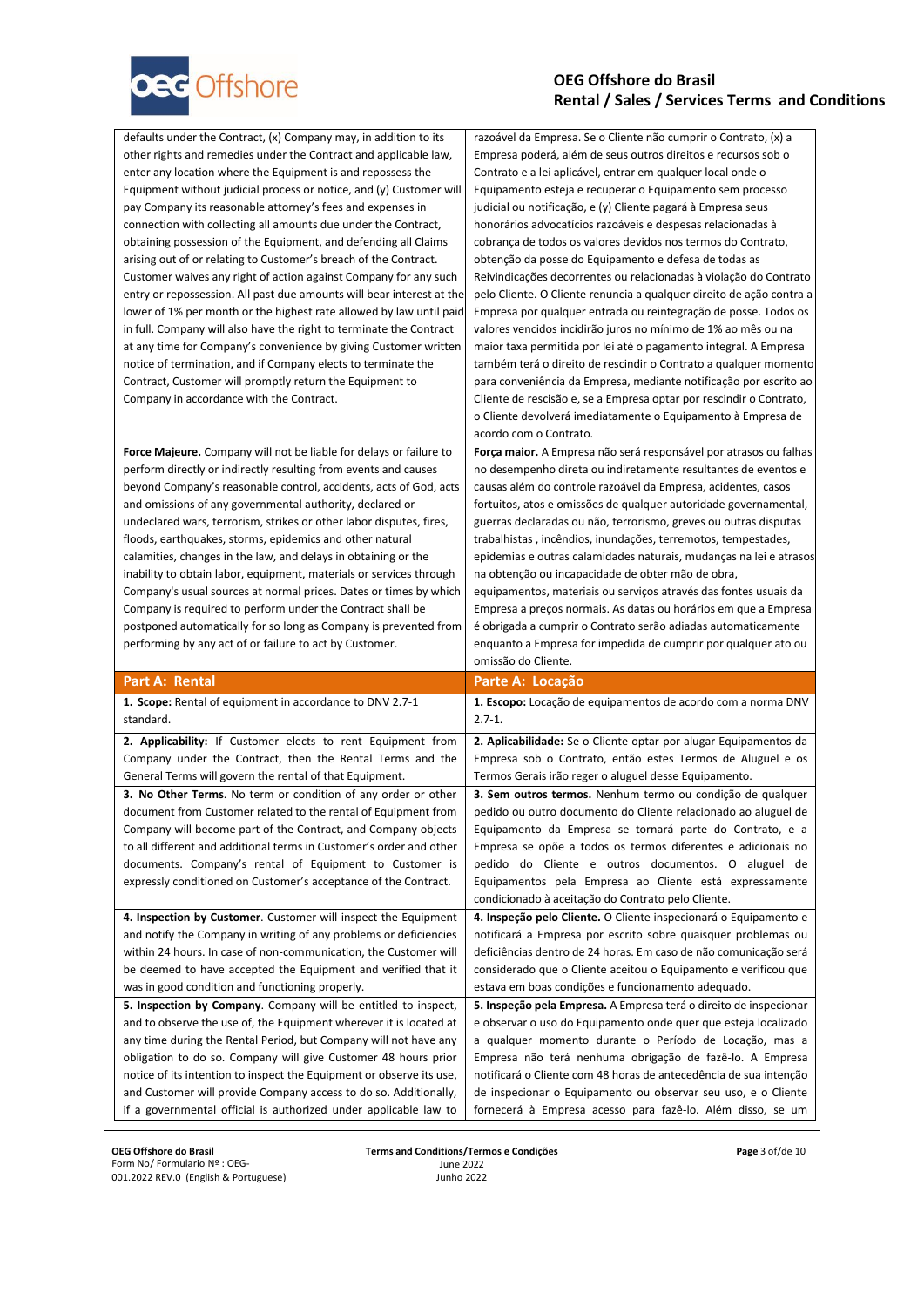

| defaults under the Contract, (x) Company may, in addition to its<br>other rights and remedies under the Contract and applicable law,<br>enter any location where the Equipment is and repossess the<br>Equipment without judicial process or notice, and (y) Customer will<br>pay Company its reasonable attorney's fees and expenses in<br>connection with collecting all amounts due under the Contract,<br>obtaining possession of the Equipment, and defending all Claims<br>arising out of or relating to Customer's breach of the Contract.<br>Customer waives any right of action against Company for any such<br>entry or repossession. All past due amounts will bear interest at the<br>lower of 1% per month or the highest rate allowed by law until paid<br>in full. Company will also have the right to terminate the Contract<br>at any time for Company's convenience by giving Customer written<br>notice of termination, and if Company elects to terminate the<br>Contract, Customer will promptly return the Equipment to<br>Company in accordance with the Contract. | razoável da Empresa. Se o Cliente não cumprir o Contrato, (x) a<br>Empresa poderá, além de seus outros direitos e recursos sob o<br>Contrato e a lei aplicável, entrar em qualquer local onde o<br>Equipamento esteja e recuperar o Equipamento sem processo<br>judicial ou notificação, e (y) Cliente pagará à Empresa seus<br>honorários advocatícios razoáveis e despesas relacionadas à<br>cobrança de todos os valores devidos nos termos do Contrato,<br>obtenção da posse do Equipamento e defesa de todas as<br>Reivindicações decorrentes ou relacionadas à violação do Contrato<br>pelo Cliente. O Cliente renuncia a qualquer direito de ação contra a<br>Empresa por qualquer entrada ou reintegração de posse. Todos os<br>valores vencidos incidirão juros no mínimo de 1% ao mês ou na<br>maior taxa permitida por lei até o pagamento integral. A Empresa<br>também terá o direito de rescindir o Contrato a qualquer momento<br>para conveniência da Empresa, mediante notificação por escrito ao<br>Cliente de rescisão e, se a Empresa optar por rescindir o Contrato,<br>o Cliente devolverá imediatamente o Equipamento à Empresa de |
|-------------------------------------------------------------------------------------------------------------------------------------------------------------------------------------------------------------------------------------------------------------------------------------------------------------------------------------------------------------------------------------------------------------------------------------------------------------------------------------------------------------------------------------------------------------------------------------------------------------------------------------------------------------------------------------------------------------------------------------------------------------------------------------------------------------------------------------------------------------------------------------------------------------------------------------------------------------------------------------------------------------------------------------------------------------------------------------------|-----------------------------------------------------------------------------------------------------------------------------------------------------------------------------------------------------------------------------------------------------------------------------------------------------------------------------------------------------------------------------------------------------------------------------------------------------------------------------------------------------------------------------------------------------------------------------------------------------------------------------------------------------------------------------------------------------------------------------------------------------------------------------------------------------------------------------------------------------------------------------------------------------------------------------------------------------------------------------------------------------------------------------------------------------------------------------------------------------------------------------------------------------------|
|                                                                                                                                                                                                                                                                                                                                                                                                                                                                                                                                                                                                                                                                                                                                                                                                                                                                                                                                                                                                                                                                                           | acordo com o Contrato.                                                                                                                                                                                                                                                                                                                                                                                                                                                                                                                                                                                                                                                                                                                                                                                                                                                                                                                                                                                                                                                                                                                                    |
| Force Majeure. Company will not be liable for delays or failure to<br>perform directly or indirectly resulting from events and causes<br>beyond Company's reasonable control, accidents, acts of God, acts<br>and omissions of any governmental authority, declared or<br>undeclared wars, terrorism, strikes or other labor disputes, fires,<br>floods, earthquakes, storms, epidemics and other natural<br>calamities, changes in the law, and delays in obtaining or the<br>inability to obtain labor, equipment, materials or services through<br>Company's usual sources at normal prices. Dates or times by which<br>Company is required to perform under the Contract shall be<br>postponed automatically for so long as Company is prevented from                                                                                                                                                                                                                                                                                                                                 | Força maior. A Empresa não será responsável por atrasos ou falhas<br>no desempenho direta ou indiretamente resultantes de eventos e<br>causas além do controle razoável da Empresa, acidentes, casos<br>fortuitos, atos e omissões de qualquer autoridade governamental,<br>guerras declaradas ou não, terrorismo, greves ou outras disputas<br>trabalhistas, incêndios, inundações, terremotos, tempestades,<br>epidemias e outras calamidades naturais, mudanças na lei e atrasos<br>na obtenção ou incapacidade de obter mão de obra,<br>equipamentos, materiais ou serviços através das fontes usuais da<br>Empresa a preços normais. As datas ou horários em que a Empresa<br>é obrigada a cumprir o Contrato serão adiadas automaticamente                                                                                                                                                                                                                                                                                                                                                                                                          |
| performing by any act of or failure to act by Customer.                                                                                                                                                                                                                                                                                                                                                                                                                                                                                                                                                                                                                                                                                                                                                                                                                                                                                                                                                                                                                                   | enquanto a Empresa for impedida de cumprir por qualquer ato ou<br>omissão do Cliente.                                                                                                                                                                                                                                                                                                                                                                                                                                                                                                                                                                                                                                                                                                                                                                                                                                                                                                                                                                                                                                                                     |
| <b>Part A: Rental</b>                                                                                                                                                                                                                                                                                                                                                                                                                                                                                                                                                                                                                                                                                                                                                                                                                                                                                                                                                                                                                                                                     |                                                                                                                                                                                                                                                                                                                                                                                                                                                                                                                                                                                                                                                                                                                                                                                                                                                                                                                                                                                                                                                                                                                                                           |
| 1. Scope: Rental of equipment in accordance to DNV 2.7-1<br>standard.                                                                                                                                                                                                                                                                                                                                                                                                                                                                                                                                                                                                                                                                                                                                                                                                                                                                                                                                                                                                                     | Parte A: Locação<br>1. Escopo: Locação de equipamentos de acordo com a norma DNV<br>$2.7 - 1.$                                                                                                                                                                                                                                                                                                                                                                                                                                                                                                                                                                                                                                                                                                                                                                                                                                                                                                                                                                                                                                                            |
| 2. Applicability: If Customer elects to rent Equipment from<br>Company under the Contract, then the Rental Terms and the<br>General Terms will govern the rental of that Equipment.                                                                                                                                                                                                                                                                                                                                                                                                                                                                                                                                                                                                                                                                                                                                                                                                                                                                                                       | 2. Aplicabilidade: Se o Cliente optar por alugar Equipamentos da<br>Empresa sob o Contrato, então estes Termos de Aluguel e os<br>Termos Gerais irão reger o aluguel desse Equipamento.                                                                                                                                                                                                                                                                                                                                                                                                                                                                                                                                                                                                                                                                                                                                                                                                                                                                                                                                                                   |
| 3. No Other Terms. No term or condition of any order or other                                                                                                                                                                                                                                                                                                                                                                                                                                                                                                                                                                                                                                                                                                                                                                                                                                                                                                                                                                                                                             | 3. Sem outros termos. Nenhum termo ou condição de qualquer                                                                                                                                                                                                                                                                                                                                                                                                                                                                                                                                                                                                                                                                                                                                                                                                                                                                                                                                                                                                                                                                                                |
| document from Customer related to the rental of Equipment from                                                                                                                                                                                                                                                                                                                                                                                                                                                                                                                                                                                                                                                                                                                                                                                                                                                                                                                                                                                                                            | pedido ou outro documento do Cliente relacionado ao aluguel de                                                                                                                                                                                                                                                                                                                                                                                                                                                                                                                                                                                                                                                                                                                                                                                                                                                                                                                                                                                                                                                                                            |
| Company will become part of the Contract, and Company objects                                                                                                                                                                                                                                                                                                                                                                                                                                                                                                                                                                                                                                                                                                                                                                                                                                                                                                                                                                                                                             | Equipamento da Empresa se tornará parte do Contrato, e a                                                                                                                                                                                                                                                                                                                                                                                                                                                                                                                                                                                                                                                                                                                                                                                                                                                                                                                                                                                                                                                                                                  |
| to all different and additional terms in Customer's order and other                                                                                                                                                                                                                                                                                                                                                                                                                                                                                                                                                                                                                                                                                                                                                                                                                                                                                                                                                                                                                       | Empresa se opõe a todos os termos diferentes e adicionais no<br>pedido do Cliente e outros documentos. O aluguel de                                                                                                                                                                                                                                                                                                                                                                                                                                                                                                                                                                                                                                                                                                                                                                                                                                                                                                                                                                                                                                       |
| documents. Company's rental of Equipment to Customer is<br>expressly conditioned on Customer's acceptance of the Contract.                                                                                                                                                                                                                                                                                                                                                                                                                                                                                                                                                                                                                                                                                                                                                                                                                                                                                                                                                                | Equipamentos pela Empresa ao Cliente está expressamente<br>condicionado à aceitação do Contrato pelo Cliente.                                                                                                                                                                                                                                                                                                                                                                                                                                                                                                                                                                                                                                                                                                                                                                                                                                                                                                                                                                                                                                             |
| 4. Inspection by Customer. Customer will inspect the Equipment                                                                                                                                                                                                                                                                                                                                                                                                                                                                                                                                                                                                                                                                                                                                                                                                                                                                                                                                                                                                                            | 4. Inspeção pelo Cliente. O Cliente inspecionará o Equipamento e                                                                                                                                                                                                                                                                                                                                                                                                                                                                                                                                                                                                                                                                                                                                                                                                                                                                                                                                                                                                                                                                                          |
| and notify the Company in writing of any problems or deficiencies                                                                                                                                                                                                                                                                                                                                                                                                                                                                                                                                                                                                                                                                                                                                                                                                                                                                                                                                                                                                                         | notificará a Empresa por escrito sobre quaisquer problemas ou                                                                                                                                                                                                                                                                                                                                                                                                                                                                                                                                                                                                                                                                                                                                                                                                                                                                                                                                                                                                                                                                                             |
| within 24 hours. In case of non-communication, the Customer will                                                                                                                                                                                                                                                                                                                                                                                                                                                                                                                                                                                                                                                                                                                                                                                                                                                                                                                                                                                                                          | deficiências dentro de 24 horas. Em caso de não comunicação será                                                                                                                                                                                                                                                                                                                                                                                                                                                                                                                                                                                                                                                                                                                                                                                                                                                                                                                                                                                                                                                                                          |
| be deemed to have accepted the Equipment and verified that it                                                                                                                                                                                                                                                                                                                                                                                                                                                                                                                                                                                                                                                                                                                                                                                                                                                                                                                                                                                                                             | considerado que o Cliente aceitou o Equipamento e verificou que                                                                                                                                                                                                                                                                                                                                                                                                                                                                                                                                                                                                                                                                                                                                                                                                                                                                                                                                                                                                                                                                                           |
| was in good condition and functioning properly.                                                                                                                                                                                                                                                                                                                                                                                                                                                                                                                                                                                                                                                                                                                                                                                                                                                                                                                                                                                                                                           | estava em boas condições e funcionamento adequado.                                                                                                                                                                                                                                                                                                                                                                                                                                                                                                                                                                                                                                                                                                                                                                                                                                                                                                                                                                                                                                                                                                        |
| 5. Inspection by Company. Company will be entitled to inspect,                                                                                                                                                                                                                                                                                                                                                                                                                                                                                                                                                                                                                                                                                                                                                                                                                                                                                                                                                                                                                            | 5. Inspeção pela Empresa. A Empresa terá o direito de inspecionar                                                                                                                                                                                                                                                                                                                                                                                                                                                                                                                                                                                                                                                                                                                                                                                                                                                                                                                                                                                                                                                                                         |
| and to observe the use of, the Equipment wherever it is located at<br>any time during the Rental Period, but Company will not have any                                                                                                                                                                                                                                                                                                                                                                                                                                                                                                                                                                                                                                                                                                                                                                                                                                                                                                                                                    | e observar o uso do Equipamento onde quer que esteja localizado<br>a qualquer momento durante o Período de Locação, mas a                                                                                                                                                                                                                                                                                                                                                                                                                                                                                                                                                                                                                                                                                                                                                                                                                                                                                                                                                                                                                                 |
| obligation to do so. Company will give Customer 48 hours prior                                                                                                                                                                                                                                                                                                                                                                                                                                                                                                                                                                                                                                                                                                                                                                                                                                                                                                                                                                                                                            | Empresa não terá nenhuma obrigação de fazê-lo. A Empresa                                                                                                                                                                                                                                                                                                                                                                                                                                                                                                                                                                                                                                                                                                                                                                                                                                                                                                                                                                                                                                                                                                  |
| notice of its intention to inspect the Equipment or observe its use,                                                                                                                                                                                                                                                                                                                                                                                                                                                                                                                                                                                                                                                                                                                                                                                                                                                                                                                                                                                                                      | notificará o Cliente com 48 horas de antecedência de sua intenção                                                                                                                                                                                                                                                                                                                                                                                                                                                                                                                                                                                                                                                                                                                                                                                                                                                                                                                                                                                                                                                                                         |
| and Customer will provide Company access to do so. Additionally,                                                                                                                                                                                                                                                                                                                                                                                                                                                                                                                                                                                                                                                                                                                                                                                                                                                                                                                                                                                                                          | de inspecionar o Equipamento ou observar seu uso, e o Cliente                                                                                                                                                                                                                                                                                                                                                                                                                                                                                                                                                                                                                                                                                                                                                                                                                                                                                                                                                                                                                                                                                             |

**OEG Offshore do Brasil** Form No/ Formulario Nº : OEG-001.2022 REV.0 (English & Portuguese) **Terms and Conditions/Termos e Condições** June 2022 Junho 2022

**Page** 3 of/de 10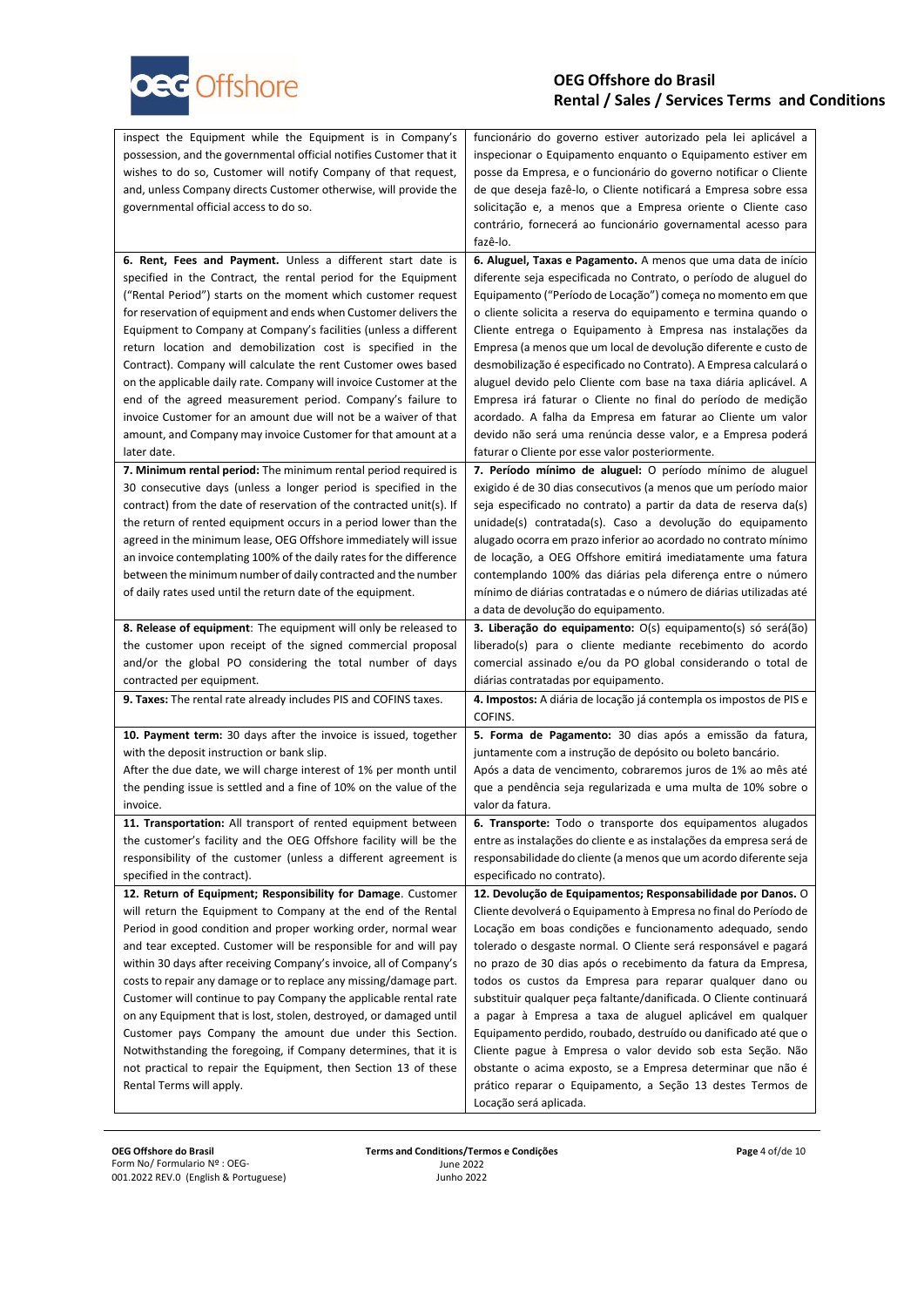

| possession, and the governmental official notifies Customer that it<br>inspecionar o Equipamento enquanto o Equipamento estiver em<br>wishes to do so, Customer will notify Company of that request,<br>posse da Empresa, e o funcionário do governo notificar o Cliente<br>and, unless Company directs Customer otherwise, will provide the<br>de que deseja fazê-lo, o Cliente notificará a Empresa sobre essa<br>governmental official access to do so.<br>solicitação e, a menos que a Empresa oriente o Cliente caso |  |
|---------------------------------------------------------------------------------------------------------------------------------------------------------------------------------------------------------------------------------------------------------------------------------------------------------------------------------------------------------------------------------------------------------------------------------------------------------------------------------------------------------------------------|--|
|                                                                                                                                                                                                                                                                                                                                                                                                                                                                                                                           |  |
|                                                                                                                                                                                                                                                                                                                                                                                                                                                                                                                           |  |
|                                                                                                                                                                                                                                                                                                                                                                                                                                                                                                                           |  |
|                                                                                                                                                                                                                                                                                                                                                                                                                                                                                                                           |  |
| contrário, fornecerá ao funcionário governamental acesso para                                                                                                                                                                                                                                                                                                                                                                                                                                                             |  |
| fazê-lo.                                                                                                                                                                                                                                                                                                                                                                                                                                                                                                                  |  |
| 6. Rent, Fees and Payment. Unless a different start date is<br>6. Aluguel, Taxas e Pagamento. A menos que uma data de início                                                                                                                                                                                                                                                                                                                                                                                              |  |
| specified in the Contract, the rental period for the Equipment<br>diferente seja especificada no Contrato, o período de aluguel do                                                                                                                                                                                                                                                                                                                                                                                        |  |
| ("Rental Period") starts on the moment which customer request<br>Equipamento ("Período de Locação") começa no momento em que                                                                                                                                                                                                                                                                                                                                                                                              |  |
| for reservation of equipment and ends when Customer delivers the<br>o cliente solicita a reserva do equipamento e termina quando o                                                                                                                                                                                                                                                                                                                                                                                        |  |
| Cliente entrega o Equipamento à Empresa nas instalações da<br>Equipment to Company at Company's facilities (unless a different                                                                                                                                                                                                                                                                                                                                                                                            |  |
| Empresa (a menos que um local de devolução diferente e custo de<br>return location and demobilization cost is specified in the                                                                                                                                                                                                                                                                                                                                                                                            |  |
| Contract). Company will calculate the rent Customer owes based<br>desmobilização é especificado no Contrato). A Empresa calculará o                                                                                                                                                                                                                                                                                                                                                                                       |  |
| on the applicable daily rate. Company will invoice Customer at the<br>aluguel devido pelo Cliente com base na taxa diária aplicável. A                                                                                                                                                                                                                                                                                                                                                                                    |  |
| end of the agreed measurement period. Company's failure to<br>Empresa irá faturar o Cliente no final do período de medição                                                                                                                                                                                                                                                                                                                                                                                                |  |
| invoice Customer for an amount due will not be a waiver of that<br>acordado. A falha da Empresa em faturar ao Cliente um valor                                                                                                                                                                                                                                                                                                                                                                                            |  |
| amount, and Company may invoice Customer for that amount at a<br>devido não será uma renúncia desse valor, e a Empresa poderá                                                                                                                                                                                                                                                                                                                                                                                             |  |
| later date.<br>faturar o Cliente por esse valor posteriormente.                                                                                                                                                                                                                                                                                                                                                                                                                                                           |  |
| 7. Minimum rental period: The minimum rental period required is<br>7. Período mínimo de aluguel: O período mínimo de aluguel                                                                                                                                                                                                                                                                                                                                                                                              |  |
| exigido é de 30 dias consecutivos (a menos que um período maior<br>30 consecutive days (unless a longer period is specified in the                                                                                                                                                                                                                                                                                                                                                                                        |  |
| seja especificado no contrato) a partir da data de reserva da(s)<br>contract) from the date of reservation of the contracted unit(s). If                                                                                                                                                                                                                                                                                                                                                                                  |  |
| the return of rented equipment occurs in a period lower than the<br>unidade(s) contratada(s). Caso a devolução do equipamento                                                                                                                                                                                                                                                                                                                                                                                             |  |
| agreed in the minimum lease, OEG Offshore immediately will issue<br>alugado ocorra em prazo inferior ao acordado no contrato mínimo                                                                                                                                                                                                                                                                                                                                                                                       |  |
|                                                                                                                                                                                                                                                                                                                                                                                                                                                                                                                           |  |
| an invoice contemplating 100% of the daily rates for the difference<br>de locação, a OEG Offshore emitirá imediatamente uma fatura                                                                                                                                                                                                                                                                                                                                                                                        |  |
| between the minimum number of daily contracted and the number<br>contemplando 100% das diárias pela diferença entre o número                                                                                                                                                                                                                                                                                                                                                                                              |  |
| mínimo de diárias contratadas e o número de diárias utilizadas até<br>of daily rates used until the return date of the equipment.                                                                                                                                                                                                                                                                                                                                                                                         |  |
| a data de devolução do equipamento.                                                                                                                                                                                                                                                                                                                                                                                                                                                                                       |  |
| 8. Release of equipment: The equipment will only be released to<br>3. Liberação do equipamento: O(s) equipamento(s) só será(ão)                                                                                                                                                                                                                                                                                                                                                                                           |  |
| the customer upon receipt of the signed commercial proposal<br>liberado(s) para o cliente mediante recebimento do acordo                                                                                                                                                                                                                                                                                                                                                                                                  |  |
| and/or the global PO considering the total number of days<br>comercial assinado e/ou da PO global considerando o total de                                                                                                                                                                                                                                                                                                                                                                                                 |  |
| contracted per equipment.<br>diárias contratadas por equipamento.                                                                                                                                                                                                                                                                                                                                                                                                                                                         |  |
| 4. Impostos: A diária de locação já contempla os impostos de PIS e<br><b>9. Taxes:</b> The rental rate already includes PIS and COFINS taxes.                                                                                                                                                                                                                                                                                                                                                                             |  |
| COFINS.                                                                                                                                                                                                                                                                                                                                                                                                                                                                                                                   |  |
| 10. Payment term: 30 days after the invoice is issued, together<br>5. Forma de Pagamento: 30 dias após a emissão da fatura,                                                                                                                                                                                                                                                                                                                                                                                               |  |
| with the deposit instruction or bank slip.<br>juntamente com a instrução de depósito ou boleto bancário.                                                                                                                                                                                                                                                                                                                                                                                                                  |  |
| After the due date, we will charge interest of 1% per month until<br>Após a data de vencimento, cobraremos juros de 1% ao mês até                                                                                                                                                                                                                                                                                                                                                                                         |  |
| the pending issue is settled and a fine of 10% on the value of the<br>que a pendência seja regularizada e uma multa de 10% sobre o                                                                                                                                                                                                                                                                                                                                                                                        |  |
| valor da fatura.<br>invoice.                                                                                                                                                                                                                                                                                                                                                                                                                                                                                              |  |
| 11. Transportation: All transport of rented equipment between<br>6. Transporte: Todo o transporte dos equipamentos alugados                                                                                                                                                                                                                                                                                                                                                                                               |  |
| the customer's facility and the OEG Offshore facility will be the<br>entre as instalações do cliente e as instalações da empresa será de                                                                                                                                                                                                                                                                                                                                                                                  |  |
| responsibility of the customer (unless a different agreement is<br>responsabilidade do cliente (a menos que um acordo diferente seja                                                                                                                                                                                                                                                                                                                                                                                      |  |
| specified in the contract).<br>especificado no contrato).                                                                                                                                                                                                                                                                                                                                                                                                                                                                 |  |
| 12. Return of Equipment; Responsibility for Damage. Customer<br>12. Devolução de Equipamentos; Responsabilidade por Danos. O                                                                                                                                                                                                                                                                                                                                                                                              |  |
| will return the Equipment to Company at the end of the Rental<br>Cliente devolverá o Equipamento à Empresa no final do Período de                                                                                                                                                                                                                                                                                                                                                                                         |  |
| Period in good condition and proper working order, normal wear<br>Locação em boas condições e funcionamento adequado, sendo                                                                                                                                                                                                                                                                                                                                                                                               |  |
| and tear excepted. Customer will be responsible for and will pay<br>tolerado o desgaste normal. O Cliente será responsável e pagará                                                                                                                                                                                                                                                                                                                                                                                       |  |
| within 30 days after receiving Company's invoice, all of Company's<br>no prazo de 30 dias após o recebimento da fatura da Empresa,                                                                                                                                                                                                                                                                                                                                                                                        |  |
| costs to repair any damage or to replace any missing/damage part.<br>todos os custos da Empresa para reparar qualquer dano ou                                                                                                                                                                                                                                                                                                                                                                                             |  |
| substituir qualquer peça faltante/danificada. O Cliente continuará<br>Customer will continue to pay Company the applicable rental rate                                                                                                                                                                                                                                                                                                                                                                                    |  |
| a pagar à Empresa a taxa de aluguel aplicável em qualquer<br>on any Equipment that is lost, stolen, destroyed, or damaged until                                                                                                                                                                                                                                                                                                                                                                                           |  |
| Customer pays Company the amount due under this Section.<br>Equipamento perdido, roubado, destruído ou danificado até que o                                                                                                                                                                                                                                                                                                                                                                                               |  |
| Notwithstanding the foregoing, if Company determines, that it is<br>Cliente pague à Empresa o valor devido sob esta Seção. Não                                                                                                                                                                                                                                                                                                                                                                                            |  |
| not practical to repair the Equipment, then Section 13 of these<br>obstante o acima exposto, se a Empresa determinar que não é<br>prático reparar o Equipamento, a Seção 13 destes Termos de<br>Rental Terms will apply.                                                                                                                                                                                                                                                                                                  |  |

**OEG Offshore do Brasil** Form No/ Formulario Nº : OEG-001.2022 REV.0 (English & Portuguese) **Terms and Conditions/Termos e Condições** June 2022 Junho 2022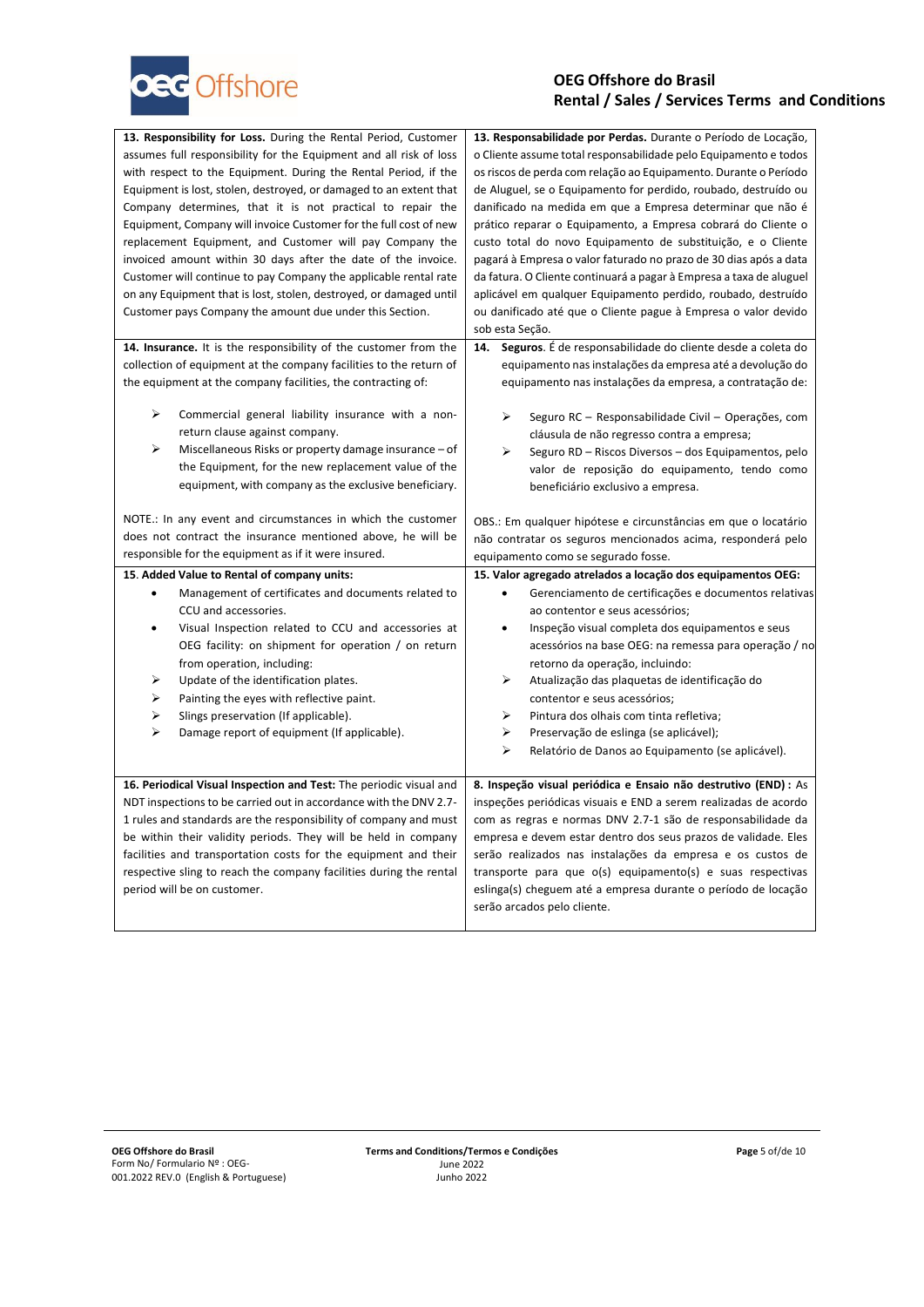

| 13. Responsibility for Loss. During the Rental Period, Customer                                                                         | 13. Responsabilidade por Perdas. Durante o Período de Locação,                                                                     |
|-----------------------------------------------------------------------------------------------------------------------------------------|------------------------------------------------------------------------------------------------------------------------------------|
| assumes full responsibility for the Equipment and all risk of loss                                                                      | o Cliente assume total responsabilidade pelo Equipamento e todos                                                                   |
| with respect to the Equipment. During the Rental Period, if the                                                                         | os riscos de perda com relação ao Equipamento. Durante o Período                                                                   |
| Equipment is lost, stolen, destroyed, or damaged to an extent that                                                                      | de Aluguel, se o Equipamento for perdido, roubado, destruído ou                                                                    |
| Company determines, that it is not practical to repair the                                                                              | danificado na medida em que a Empresa determinar que não é                                                                         |
| Equipment, Company will invoice Customer for the full cost of new                                                                       | prático reparar o Equipamento, a Empresa cobrará do Cliente o                                                                      |
| replacement Equipment, and Customer will pay Company the                                                                                | custo total do novo Equipamento de substituição, e o Cliente                                                                       |
| invoiced amount within 30 days after the date of the invoice.                                                                           | pagará à Empresa o valor faturado no prazo de 30 dias após a data                                                                  |
| Customer will continue to pay Company the applicable rental rate                                                                        | da fatura. O Cliente continuará a pagar à Empresa a taxa de aluguel                                                                |
| on any Equipment that is lost, stolen, destroyed, or damaged until                                                                      | aplicável em qualquer Equipamento perdido, roubado, destruído                                                                      |
| Customer pays Company the amount due under this Section.                                                                                | ou danificado até que o Cliente pague à Empresa o valor devido                                                                     |
|                                                                                                                                         | sob esta Seção.                                                                                                                    |
| 14. Insurance. It is the responsibility of the customer from the                                                                        | Seguros. É de responsabilidade do cliente desde a coleta do<br>14.                                                                 |
| collection of equipment at the company facilities to the return of                                                                      | equipamento nas instalações da empresa até a devolução do                                                                          |
| the equipment at the company facilities, the contracting of:                                                                            | equipamento nas instalações da empresa, a contratação de:                                                                          |
|                                                                                                                                         |                                                                                                                                    |
| ⋗<br>Commercial general liability insurance with a non-                                                                                 | ⋗<br>Seguro RC - Responsabilidade Civil - Operações, com                                                                           |
| return clause against company.                                                                                                          | cláusula de não regresso contra a empresa;                                                                                         |
| Miscellaneous Risks or property damage insurance – of<br>➤                                                                              | ➤<br>Seguro RD - Riscos Diversos - dos Equipamentos, pelo                                                                          |
| the Equipment, for the new replacement value of the                                                                                     | valor de reposição do equipamento, tendo como                                                                                      |
| equipment, with company as the exclusive beneficiary.                                                                                   | beneficiário exclusivo a empresa.                                                                                                  |
|                                                                                                                                         |                                                                                                                                    |
| NOTE.: In any event and circumstances in which the customer                                                                             | OBS.: Em qualquer hipótese e circunstâncias em que o locatário                                                                     |
| does not contract the insurance mentioned above, he will be                                                                             | não contratar os seguros mencionados acima, responderá pelo                                                                        |
| responsible for the equipment as if it were insured.                                                                                    | equipamento como se segurado fosse.                                                                                                |
| 15. Added Value to Rental of company units:                                                                                             | 15. Valor agregado atrelados a locação dos equipamentos OEG:                                                                       |
| Management of certificates and documents related to<br>$\bullet$                                                                        | Gerenciamento de certificações e documentos relativas<br>$\bullet$                                                                 |
| CCU and accessories.                                                                                                                    | ao contentor e seus acessórios;                                                                                                    |
| Visual Inspection related to CCU and accessories at<br>$\bullet$                                                                        | Inspeção visual completa dos equipamentos e seus<br>$\bullet$                                                                      |
| OEG facility: on shipment for operation / on return                                                                                     | acessórios na base OEG: na remessa para operação / no                                                                              |
| from operation, including:                                                                                                              | retorno da operação, incluindo:                                                                                                    |
| ⋗<br>Update of the identification plates.                                                                                               | ➤<br>Atualização das plaquetas de identificação do                                                                                 |
| Painting the eyes with reflective paint.<br>⋗                                                                                           | contentor e seus acessórios;                                                                                                       |
| ⋗<br>Slings preservation (If applicable).                                                                                               | ➤<br>Pintura dos olhais com tinta refletiva;                                                                                       |
| ⋗<br>Damage report of equipment (If applicable).                                                                                        | ➤<br>Preservação de eslinga (se aplicável);                                                                                        |
|                                                                                                                                         | ➤<br>Relatório de Danos ao Equipamento (se aplicável).                                                                             |
|                                                                                                                                         |                                                                                                                                    |
| 16. Periodical Visual Inspection and Test: The periodic visual and<br>NDT inspections to be carried out in accordance with the DNV 2.7- | 8. Inspeção visual periódica e Ensaio não destrutivo (END) : As<br>inspeções periódicas visuais e END a serem realizadas de acordo |
| 1 rules and standards are the responsibility of company and must                                                                        | com as regras e normas DNV 2.7-1 são de responsabilidade da                                                                        |
| be within their validity periods. They will be held in company                                                                          | empresa e devem estar dentro dos seus prazos de validade. Eles                                                                     |
| facilities and transportation costs for the equipment and their                                                                         | serão realizados nas instalações da empresa e os custos de                                                                         |
| respective sling to reach the company facilities during the rental                                                                      | transporte para que o(s) equipamento(s) e suas respectivas                                                                         |
| period will be on customer.                                                                                                             | eslinga(s) cheguem até a empresa durante o período de locação                                                                      |
|                                                                                                                                         | serão arcados pelo cliente.                                                                                                        |
|                                                                                                                                         |                                                                                                                                    |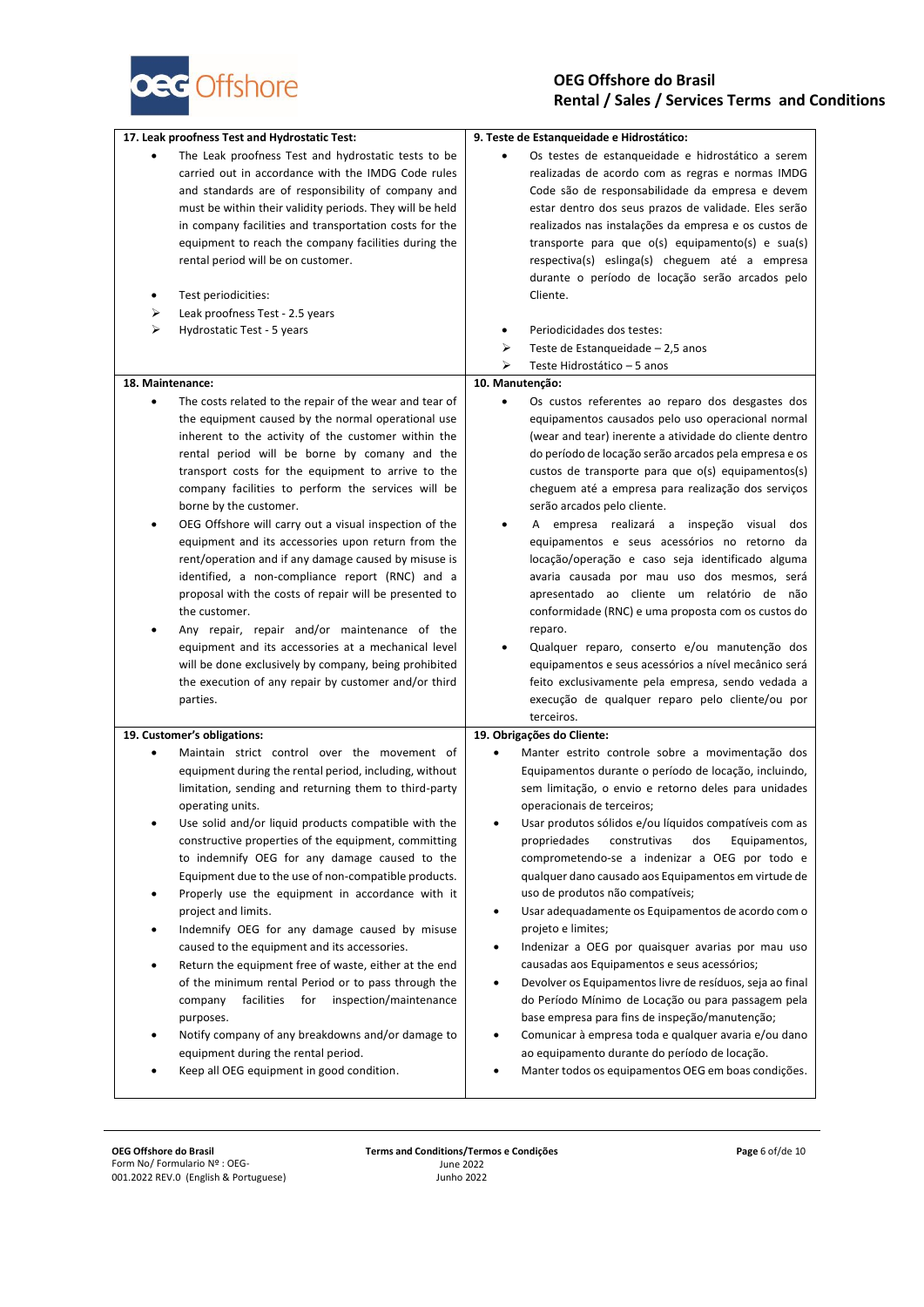

| 17. Leak proofness Test and Hydrostatic Test:                                                                                                                                                                                                                                                                                                                                                                                                                                                                                                                                                                                                                                                                                                                                                                                                                                                         | 9. Teste de Estanqueidade e Hidrostático:                                                                                                                                                                                                                                                                                                                                                                                                                                                                                                                                                                                                                                                                                                                                                                                                                                                                                                                                      |
|-------------------------------------------------------------------------------------------------------------------------------------------------------------------------------------------------------------------------------------------------------------------------------------------------------------------------------------------------------------------------------------------------------------------------------------------------------------------------------------------------------------------------------------------------------------------------------------------------------------------------------------------------------------------------------------------------------------------------------------------------------------------------------------------------------------------------------------------------------------------------------------------------------|--------------------------------------------------------------------------------------------------------------------------------------------------------------------------------------------------------------------------------------------------------------------------------------------------------------------------------------------------------------------------------------------------------------------------------------------------------------------------------------------------------------------------------------------------------------------------------------------------------------------------------------------------------------------------------------------------------------------------------------------------------------------------------------------------------------------------------------------------------------------------------------------------------------------------------------------------------------------------------|
| The Leak proofness Test and hydrostatic tests to be<br>carried out in accordance with the IMDG Code rules<br>and standards are of responsibility of company and<br>must be within their validity periods. They will be held<br>in company facilities and transportation costs for the<br>equipment to reach the company facilities during the<br>rental period will be on customer.                                                                                                                                                                                                                                                                                                                                                                                                                                                                                                                   | Os testes de estanqueidade e hidrostático a serem<br>realizadas de acordo com as regras e normas IMDG<br>Code são de responsabilidade da empresa e devem<br>estar dentro dos seus prazos de validade. Eles serão<br>realizados nas instalações da empresa e os custos de<br>transporte para que o(s) equipamento(s) e sua(s)<br>respectiva(s) eslinga(s) cheguem até a empresa<br>durante o período de locação serão arcados pelo                                                                                                                                                                                                                                                                                                                                                                                                                                                                                                                                              |
| Test periodicities:                                                                                                                                                                                                                                                                                                                                                                                                                                                                                                                                                                                                                                                                                                                                                                                                                                                                                   | Cliente.                                                                                                                                                                                                                                                                                                                                                                                                                                                                                                                                                                                                                                                                                                                                                                                                                                                                                                                                                                       |
| Leak proofness Test - 2.5 years<br>⋗                                                                                                                                                                                                                                                                                                                                                                                                                                                                                                                                                                                                                                                                                                                                                                                                                                                                  |                                                                                                                                                                                                                                                                                                                                                                                                                                                                                                                                                                                                                                                                                                                                                                                                                                                                                                                                                                                |
| ⋗<br>Hydrostatic Test - 5 years                                                                                                                                                                                                                                                                                                                                                                                                                                                                                                                                                                                                                                                                                                                                                                                                                                                                       | Periodicidades dos testes:<br>٠                                                                                                                                                                                                                                                                                                                                                                                                                                                                                                                                                                                                                                                                                                                                                                                                                                                                                                                                                |
|                                                                                                                                                                                                                                                                                                                                                                                                                                                                                                                                                                                                                                                                                                                                                                                                                                                                                                       | ⋗<br>Teste de Estanqueidade - 2,5 anos                                                                                                                                                                                                                                                                                                                                                                                                                                                                                                                                                                                                                                                                                                                                                                                                                                                                                                                                         |
|                                                                                                                                                                                                                                                                                                                                                                                                                                                                                                                                                                                                                                                                                                                                                                                                                                                                                                       | ⋗<br>Teste Hidrostático – 5 anos                                                                                                                                                                                                                                                                                                                                                                                                                                                                                                                                                                                                                                                                                                                                                                                                                                                                                                                                               |
| 18. Maintenance:                                                                                                                                                                                                                                                                                                                                                                                                                                                                                                                                                                                                                                                                                                                                                                                                                                                                                      | 10. Manutenção:                                                                                                                                                                                                                                                                                                                                                                                                                                                                                                                                                                                                                                                                                                                                                                                                                                                                                                                                                                |
| The costs related to the repair of the wear and tear of<br>the equipment caused by the normal operational use<br>inherent to the activity of the customer within the<br>rental period will be borne by comany and the<br>transport costs for the equipment to arrive to the<br>company facilities to perform the services will be<br>borne by the customer.<br>OEG Offshore will carry out a visual inspection of the<br>equipment and its accessories upon return from the<br>rent/operation and if any damage caused by misuse is<br>identified, a non-compliance report (RNC) and a<br>proposal with the costs of repair will be presented to<br>the customer.<br>Any repair, repair and/or maintenance of the<br>equipment and its accessories at a mechanical level<br>will be done exclusively by company, being prohibited<br>the execution of any repair by customer and/or third<br>parties. | Os custos referentes ao reparo dos desgastes dos<br>equipamentos causados pelo uso operacional normal<br>(wear and tear) inerente a atividade do cliente dentro<br>do período de locação serão arcados pela empresa e os<br>custos de transporte para que o(s) equipamentos(s)<br>cheguem até a empresa para realização dos serviços<br>serão arcados pelo cliente.<br>A empresa realizará a inspeção visual dos<br>equipamentos e seus acessórios no retorno da<br>locação/operação e caso seja identificado alguma<br>avaria causada por mau uso dos mesmos, será<br>apresentado ao cliente um relatório de não<br>conformidade (RNC) e uma proposta com os custos do<br>reparo.<br>Qualquer reparo, conserto e/ou manutenção dos<br>٠<br>equipamentos e seus acessórios a nível mecânico será<br>feito exclusivamente pela empresa, sendo vedada a<br>execução de qualquer reparo pelo cliente/ou por<br>terceiros.                                                         |
| 19. Customer's obligations:                                                                                                                                                                                                                                                                                                                                                                                                                                                                                                                                                                                                                                                                                                                                                                                                                                                                           | 19. Obrigações do Cliente:                                                                                                                                                                                                                                                                                                                                                                                                                                                                                                                                                                                                                                                                                                                                                                                                                                                                                                                                                     |
| Maintain strict control over the movement of<br>equipment during the rental period, including, without<br>limitation, sending and returning them to third-party<br>operating units.<br>Use solid and/or liquid products compatible with the<br>constructive properties of the equipment, committing<br>to indemnify OEG for any damage caused to the<br>Equipment due to the use of non-compatible products.<br>Properly use the equipment in accordance with it<br>٠<br>project and limits.<br>Indemnify OEG for any damage caused by misuse<br>caused to the equipment and its accessories.<br>Return the equipment free of waste, either at the end<br>of the minimum rental Period or to pass through the<br>facilities<br>inspection/maintenance<br>for<br>company<br>purposes.<br>Notify company of any breakdowns and/or damage to<br>equipment during the rental period.                      | Manter estrito controle sobre a movimentação dos<br>٠<br>Equipamentos durante o período de locação, incluindo,<br>sem limitação, o envio e retorno deles para unidades<br>operacionais de terceiros;<br>Usar produtos sólidos e/ou líquidos compatíveis com as<br>propriedades<br>dos<br>Equipamentos,<br>construtivas<br>comprometendo-se a indenizar a OEG por todo e<br>qualquer dano causado aos Equipamentos em virtude de<br>uso de produtos não compatíveis;<br>Usar adequadamente os Equipamentos de acordo com o<br>$\bullet$<br>projeto e limites;<br>Indenizar a OEG por quaisquer avarias por mau uso<br>$\bullet$<br>causadas aos Equipamentos e seus acessórios;<br>Devolver os Equipamentos livre de resíduos, seja ao final<br>٠<br>do Período Mínimo de Locação ou para passagem pela<br>base empresa para fins de inspeção/manutenção;<br>Comunicar à empresa toda e qualquer avaria e/ou dano<br>$\bullet$<br>ao equipamento durante do período de locação. |
| Keep all OEG equipment in good condition.                                                                                                                                                                                                                                                                                                                                                                                                                                                                                                                                                                                                                                                                                                                                                                                                                                                             | Manter todos os equipamentos OEG em boas condições.                                                                                                                                                                                                                                                                                                                                                                                                                                                                                                                                                                                                                                                                                                                                                                                                                                                                                                                            |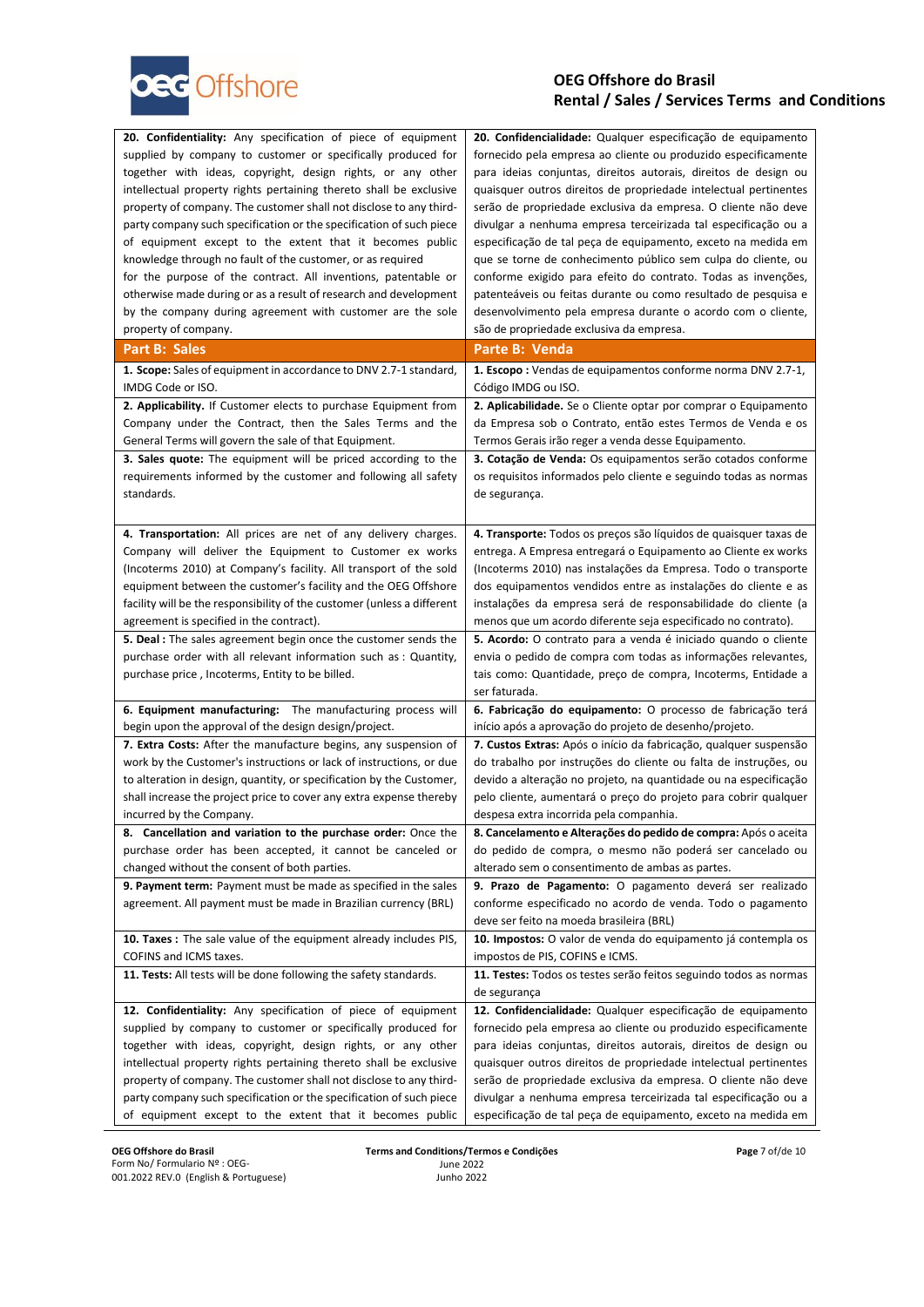

| 20. Confidentiality: Any specification of piece of equipment                                                                                                                                                                                                                                                                                                                                                                                                                                                                                                                            | 20. Confidencialidade: Qualquer especificação de equipamento                                                                                                                                                                                                                                                                                                                                                                                                                                                                                                                                                                   |
|-----------------------------------------------------------------------------------------------------------------------------------------------------------------------------------------------------------------------------------------------------------------------------------------------------------------------------------------------------------------------------------------------------------------------------------------------------------------------------------------------------------------------------------------------------------------------------------------|--------------------------------------------------------------------------------------------------------------------------------------------------------------------------------------------------------------------------------------------------------------------------------------------------------------------------------------------------------------------------------------------------------------------------------------------------------------------------------------------------------------------------------------------------------------------------------------------------------------------------------|
| supplied by company to customer or specifically produced for                                                                                                                                                                                                                                                                                                                                                                                                                                                                                                                            | fornecido pela empresa ao cliente ou produzido especificamente                                                                                                                                                                                                                                                                                                                                                                                                                                                                                                                                                                 |
| together with ideas, copyright, design rights, or any other                                                                                                                                                                                                                                                                                                                                                                                                                                                                                                                             | para ideias conjuntas, direitos autorais, direitos de design ou                                                                                                                                                                                                                                                                                                                                                                                                                                                                                                                                                                |
| intellectual property rights pertaining thereto shall be exclusive                                                                                                                                                                                                                                                                                                                                                                                                                                                                                                                      | quaisquer outros direitos de propriedade intelectual pertinentes                                                                                                                                                                                                                                                                                                                                                                                                                                                                                                                                                               |
| property of company. The customer shall not disclose to any third-                                                                                                                                                                                                                                                                                                                                                                                                                                                                                                                      | serão de propriedade exclusiva da empresa. O cliente não deve                                                                                                                                                                                                                                                                                                                                                                                                                                                                                                                                                                  |
| party company such specification or the specification of such piece                                                                                                                                                                                                                                                                                                                                                                                                                                                                                                                     | divulgar a nenhuma empresa terceirizada tal especificação ou a                                                                                                                                                                                                                                                                                                                                                                                                                                                                                                                                                                 |
| of equipment except to the extent that it becomes public                                                                                                                                                                                                                                                                                                                                                                                                                                                                                                                                | especificação de tal peça de equipamento, exceto na medida em                                                                                                                                                                                                                                                                                                                                                                                                                                                                                                                                                                  |
| knowledge through no fault of the customer, or as required                                                                                                                                                                                                                                                                                                                                                                                                                                                                                                                              | que se torne de conhecimento público sem culpa do cliente, ou                                                                                                                                                                                                                                                                                                                                                                                                                                                                                                                                                                  |
| for the purpose of the contract. All inventions, patentable or                                                                                                                                                                                                                                                                                                                                                                                                                                                                                                                          | conforme exigido para efeito do contrato. Todas as invenções,                                                                                                                                                                                                                                                                                                                                                                                                                                                                                                                                                                  |
| otherwise made during or as a result of research and development                                                                                                                                                                                                                                                                                                                                                                                                                                                                                                                        | patenteáveis ou feitas durante ou como resultado de pesquisa e                                                                                                                                                                                                                                                                                                                                                                                                                                                                                                                                                                 |
| by the company during agreement with customer are the sole                                                                                                                                                                                                                                                                                                                                                                                                                                                                                                                              | desenvolvimento pela empresa durante o acordo com o cliente,                                                                                                                                                                                                                                                                                                                                                                                                                                                                                                                                                                   |
| property of company.                                                                                                                                                                                                                                                                                                                                                                                                                                                                                                                                                                    | são de propriedade exclusiva da empresa.                                                                                                                                                                                                                                                                                                                                                                                                                                                                                                                                                                                       |
| Part B: Sales                                                                                                                                                                                                                                                                                                                                                                                                                                                                                                                                                                           | Parte B: Venda                                                                                                                                                                                                                                                                                                                                                                                                                                                                                                                                                                                                                 |
| 1. Scope: Sales of equipment in accordance to DNV 2.7-1 standard,                                                                                                                                                                                                                                                                                                                                                                                                                                                                                                                       | <b>1. Escopo</b> : Vendas de equipamentos conforme norma DNV 2.7-1,                                                                                                                                                                                                                                                                                                                                                                                                                                                                                                                                                            |
| IMDG Code or ISO.                                                                                                                                                                                                                                                                                                                                                                                                                                                                                                                                                                       | Código IMDG ou ISO.                                                                                                                                                                                                                                                                                                                                                                                                                                                                                                                                                                                                            |
| 2. Applicability. If Customer elects to purchase Equipment from                                                                                                                                                                                                                                                                                                                                                                                                                                                                                                                         | 2. Aplicabilidade. Se o Cliente optar por comprar o Equipamento                                                                                                                                                                                                                                                                                                                                                                                                                                                                                                                                                                |
| Company under the Contract, then the Sales Terms and the                                                                                                                                                                                                                                                                                                                                                                                                                                                                                                                                | da Empresa sob o Contrato, então estes Termos de Venda e os                                                                                                                                                                                                                                                                                                                                                                                                                                                                                                                                                                    |
| General Terms will govern the sale of that Equipment.                                                                                                                                                                                                                                                                                                                                                                                                                                                                                                                                   | Termos Gerais irão reger a venda desse Equipamento.                                                                                                                                                                                                                                                                                                                                                                                                                                                                                                                                                                            |
| <b>3. Sales quote:</b> The equipment will be priced according to the                                                                                                                                                                                                                                                                                                                                                                                                                                                                                                                    | 3. Cotação de Venda: Os equipamentos serão cotados conforme                                                                                                                                                                                                                                                                                                                                                                                                                                                                                                                                                                    |
| requirements informed by the customer and following all safety                                                                                                                                                                                                                                                                                                                                                                                                                                                                                                                          | os requisitos informados pelo cliente e seguindo todas as normas                                                                                                                                                                                                                                                                                                                                                                                                                                                                                                                                                               |
| standards.                                                                                                                                                                                                                                                                                                                                                                                                                                                                                                                                                                              | de segurança.                                                                                                                                                                                                                                                                                                                                                                                                                                                                                                                                                                                                                  |
| 4. Transportation: All prices are net of any delivery charges.<br>Company will deliver the Equipment to Customer ex works<br>(Incoterms 2010) at Company's facility. All transport of the sold<br>equipment between the customer's facility and the OEG Offshore<br>facility will be the responsibility of the customer (unless a different<br>agreement is specified in the contract).<br><b>5. Deal:</b> The sales agreement begin once the customer sends the<br>purchase order with all relevant information such as : Quantity,<br>purchase price, Incoterms, Entity to be billed. | 4. Transporte: Todos os preços são líquidos de quaisquer taxas de<br>entrega. A Empresa entregará o Equipamento ao Cliente ex works<br>(Incoterms 2010) nas instalações da Empresa. Todo o transporte<br>dos equipamentos vendidos entre as instalações do cliente e as<br>instalações da empresa será de responsabilidade do cliente (a<br>menos que um acordo diferente seja especificado no contrato).<br>5. Acordo: O contrato para a venda é iniciado quando o cliente<br>envia o pedido de compra com todas as informações relevantes,<br>tais como: Quantidade, preço de compra, Incoterms, Entidade a<br>ser faturada. |
| 6. Equipment manufacturing: The manufacturing process will                                                                                                                                                                                                                                                                                                                                                                                                                                                                                                                              | 6. Fabricação do equipamento: O processo de fabricação terá                                                                                                                                                                                                                                                                                                                                                                                                                                                                                                                                                                    |
| begin upon the approval of the design design/project.                                                                                                                                                                                                                                                                                                                                                                                                                                                                                                                                   | início após a aprovação do projeto de desenho/projeto.                                                                                                                                                                                                                                                                                                                                                                                                                                                                                                                                                                         |
| 7. Extra Costs: After the manufacture begins, any suspension of                                                                                                                                                                                                                                                                                                                                                                                                                                                                                                                         | 7. Custos Extras: Após o início da fabricação, qualquer suspensão                                                                                                                                                                                                                                                                                                                                                                                                                                                                                                                                                              |
| work by the Customer's instructions or lack of instructions, or due                                                                                                                                                                                                                                                                                                                                                                                                                                                                                                                     | do trabalho por instruções do cliente ou falta de instruções, ou                                                                                                                                                                                                                                                                                                                                                                                                                                                                                                                                                               |
| to alteration in design, quantity, or specification by the Customer,                                                                                                                                                                                                                                                                                                                                                                                                                                                                                                                    | devido a alteração no projeto, na quantidade ou na especificação                                                                                                                                                                                                                                                                                                                                                                                                                                                                                                                                                               |
| shall increase the project price to cover any extra expense thereby                                                                                                                                                                                                                                                                                                                                                                                                                                                                                                                     | pelo cliente, aumentará o preço do projeto para cobrir qualquer                                                                                                                                                                                                                                                                                                                                                                                                                                                                                                                                                                |
| incurred by the Company.                                                                                                                                                                                                                                                                                                                                                                                                                                                                                                                                                                | despesa extra incorrida pela companhia.                                                                                                                                                                                                                                                                                                                                                                                                                                                                                                                                                                                        |
| 8. Cancellation and variation to the purchase order: Once the<br>purchase order has been accepted, it cannot be canceled or<br>changed without the consent of both parties.<br>9. Payment term: Payment must be made as specified in the sales<br>agreement. All payment must be made in Brazilian currency (BRL)                                                                                                                                                                                                                                                                       | 8. Cancelamento e Alterações do pedido de compra: Após o aceita<br>do pedido de compra, o mesmo não poderá ser cancelado ou<br>alterado sem o consentimento de ambas as partes.<br>9. Prazo de Pagamento: O pagamento deverá ser realizado<br>conforme especificado no acordo de venda. Todo o pagamento<br>deve ser feito na moeda brasileira (BRL)                                                                                                                                                                                                                                                                           |
| 10. Taxes : The sale value of the equipment already includes PIS,                                                                                                                                                                                                                                                                                                                                                                                                                                                                                                                       | 10. Impostos: O valor de venda do equipamento já contempla os                                                                                                                                                                                                                                                                                                                                                                                                                                                                                                                                                                  |
| COFINS and ICMS taxes.                                                                                                                                                                                                                                                                                                                                                                                                                                                                                                                                                                  | impostos de PIS, COFINS e ICMS.                                                                                                                                                                                                                                                                                                                                                                                                                                                                                                                                                                                                |
| 11. Tests: All tests will be done following the safety standards.<br>12. Confidentiality: Any specification of piece of equipment<br>supplied by company to customer or specifically produced for                                                                                                                                                                                                                                                                                                                                                                                       | 11. Testes: Todos os testes serão feitos seguindo todos as normas<br>de segurança<br>12. Confidencialidade: Qualquer especificação de equipamento<br>fornecido pela empresa ao cliente ou produzido especificamente                                                                                                                                                                                                                                                                                                                                                                                                            |
| together with ideas, copyright, design rights, or any other                                                                                                                                                                                                                                                                                                                                                                                                                                                                                                                             | para ideias conjuntas, direitos autorais, direitos de design ou                                                                                                                                                                                                                                                                                                                                                                                                                                                                                                                                                                |
| intellectual property rights pertaining thereto shall be exclusive                                                                                                                                                                                                                                                                                                                                                                                                                                                                                                                      | quaisquer outros direitos de propriedade intelectual pertinentes                                                                                                                                                                                                                                                                                                                                                                                                                                                                                                                                                               |
| property of company. The customer shall not disclose to any third-                                                                                                                                                                                                                                                                                                                                                                                                                                                                                                                      | serão de propriedade exclusiva da empresa. O cliente não deve                                                                                                                                                                                                                                                                                                                                                                                                                                                                                                                                                                  |
| party company such specification or the specification of such piece                                                                                                                                                                                                                                                                                                                                                                                                                                                                                                                     | divulgar a nenhuma empresa terceirizada tal especificação ou a                                                                                                                                                                                                                                                                                                                                                                                                                                                                                                                                                                 |
| of equipment except to the extent that it becomes public                                                                                                                                                                                                                                                                                                                                                                                                                                                                                                                                | especificação de tal peça de equipamento, exceto na medida em                                                                                                                                                                                                                                                                                                                                                                                                                                                                                                                                                                  |

**Page** 7 of/de 10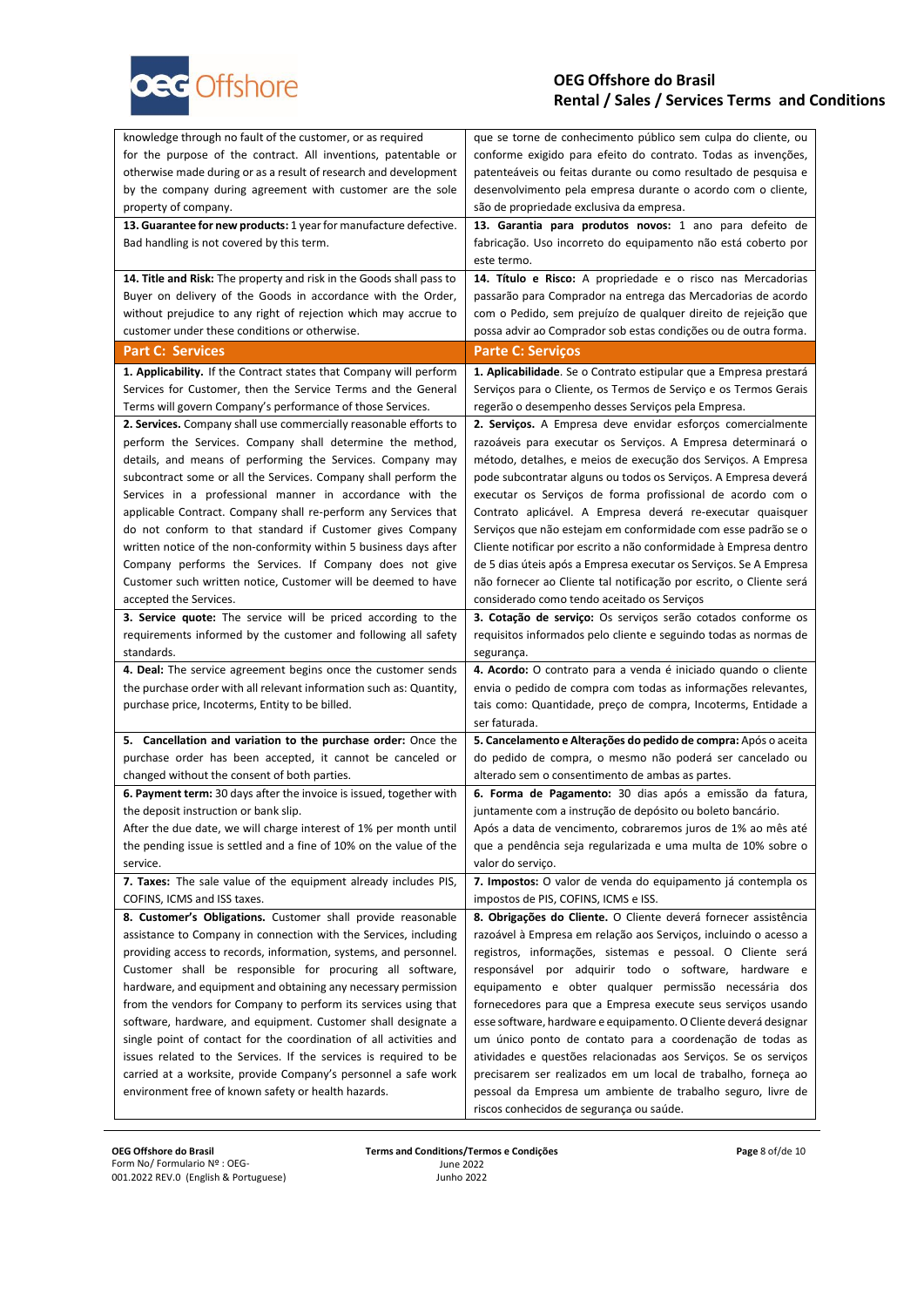

| knowledge through no fault of the customer, or as required           | que se torne de conhecimento público sem culpa do cliente, ou       |
|----------------------------------------------------------------------|---------------------------------------------------------------------|
| for the purpose of the contract. All inventions, patentable or       | conforme exigido para efeito do contrato. Todas as invenções,       |
| otherwise made during or as a result of research and development     | patenteáveis ou feitas durante ou como resultado de pesquisa e      |
| by the company during agreement with customer are the sole           | desenvolvimento pela empresa durante o acordo com o cliente,        |
| property of company.                                                 | são de propriedade exclusiva da empresa.                            |
| 13. Guarantee for new products: 1 year for manufacture defective.    | 13. Garantia para produtos novos: 1 ano para defeito de             |
| Bad handling is not covered by this term.                            | fabricação. Uso incorreto do equipamento não está coberto por       |
|                                                                      | este termo.                                                         |
| 14. Title and Risk: The property and risk in the Goods shall pass to | 14. Título e Risco: A propriedade e o risco nas Mercadorias         |
| Buyer on delivery of the Goods in accordance with the Order,         | passarão para Comprador na entrega das Mercadorias de acordo        |
| without prejudice to any right of rejection which may accrue to      | com o Pedido, sem prejuízo de qualquer direito de rejeição que      |
| customer under these conditions or otherwise.                        | possa advir ao Comprador sob estas condições ou de outra forma.     |
| <b>Part C: Services</b>                                              | <b>Parte C: Serviços</b>                                            |
| 1. Applicability. If the Contract states that Company will perform   | 1. Aplicabilidade. Se o Contrato estipular que a Empresa prestará   |
| Services for Customer, then the Service Terms and the General        | Serviços para o Cliente, os Termos de Serviço e os Termos Gerais    |
| Terms will govern Company's performance of those Services.           | regerão o desempenho desses Serviços pela Empresa.                  |
| 2. Services. Company shall use commercially reasonable efforts to    | 2. Serviços. A Empresa deve envidar esforços comercialmente         |
| perform the Services. Company shall determine the method,            | razoáveis para executar os Serviços. A Empresa determinará o        |
| details, and means of performing the Services. Company may           | método, detalhes, e meios de execução dos Serviços. A Empresa       |
| subcontract some or all the Services. Company shall perform the      | pode subcontratar alguns ou todos os Serviços. A Empresa deverá     |
| Services in a professional manner in accordance with the             | executar os Serviços de forma profissional de acordo com o          |
| applicable Contract. Company shall re-perform any Services that      | Contrato aplicável. A Empresa deverá re-executar quaisquer          |
| do not conform to that standard if Customer gives Company            | Serviços que não estejam em conformidade com esse padrão se o       |
| written notice of the non-conformity within 5 business days after    | Cliente notificar por escrito a não conformidade à Empresa dentro   |
| Company performs the Services. If Company does not give              | de 5 dias úteis após a Empresa executar os Serviços. Se A Empresa   |
| Customer such written notice, Customer will be deemed to have        | não fornecer ao Cliente tal notificação por escrito, o Cliente será |
| accepted the Services.                                               | considerado como tendo aceitado os Serviços                         |
| 3. Service quote: The service will be priced according to the        | 3. Cotação de serviço: Os serviços serão cotados conforme os        |
| requirements informed by the customer and following all safety       | requisitos informados pelo cliente e seguindo todas as normas de    |
| standards.                                                           | segurança.                                                          |
| 4. Deal: The service agreement begins once the customer sends        | 4. Acordo: O contrato para a venda é iniciado quando o cliente      |
| the purchase order with all relevant information such as: Quantity,  | envia o pedido de compra com todas as informações relevantes,       |
| purchase price, Incoterms, Entity to be billed.                      | tais como: Quantidade, preço de compra, Incoterms, Entidade a       |
|                                                                      | ser faturada.                                                       |
| 5. Cancellation and variation to the purchase order: Once the        | 5. Cancelamento e Alterações do pedido de compra: Após o aceita     |
| purchase order has been accepted, it cannot be canceled or           | do pedido de compra, o mesmo não poderá ser cancelado ou            |
| changed without the consent of both parties.                         | alterado sem o consentimento de ambas as partes.                    |
| 6. Payment term: 30 days after the invoice is issued, together with  | 6. Forma de Pagamento: 30 dias após a emissão da fatura,            |
| the deposit instruction or bank slip.                                | juntamente com a instrução de depósito ou boleto bancário.          |
| After the due date, we will charge interest of 1% per month until    | Após a data de vencimento, cobraremos juros de 1% ao mês até        |
| the pending issue is settled and a fine of 10% on the value of the   | que a pendência seja regularizada e uma multa de 10% sobre o        |
| service.                                                             | valor do serviço.                                                   |
| 7. Taxes: The sale value of the equipment already includes PIS,      | 7. Impostos: O valor de venda do equipamento já contempla os        |
| COFINS, ICMS and ISS taxes.                                          | impostos de PIS, COFINS, ICMS e ISS.                                |
| 8. Customer's Obligations. Customer shall provide reasonable         | 8. Obrigações do Cliente. O Cliente deverá fornecer assistência     |
| assistance to Company in connection with the Services, including     | razoável à Empresa em relação aos Serviços, incluindo o acesso a    |
| providing access to records, information, systems, and personnel.    | registros, informações, sistemas e pessoal. O Cliente será          |
| Customer shall be responsible for procuring all software,            | responsável por adquirir todo o software, hardware e                |
| hardware, and equipment and obtaining any necessary permission       | equipamento e obter qualquer permissão necessária dos               |
| from the vendors for Company to perform its services using that      | fornecedores para que a Empresa execute seus serviços usando        |
| software, hardware, and equipment. Customer shall designate a        | esse software, hardware e equipamento. O Cliente deverá designar    |
| single point of contact for the coordination of all activities and   | um único ponto de contato para a coordenação de todas as            |
| issues related to the Services. If the services is required to be    | atividades e questões relacionadas aos Serviços. Se os serviços     |
| carried at a worksite, provide Company's personnel a safe work       | precisarem ser realizados em um local de trabalho, forneça ao       |
| environment free of known safety or health hazards.                  | pessoal da Empresa um ambiente de trabalho seguro, livre de         |
|                                                                      | riscos conhecidos de segurança ou saúde.                            |